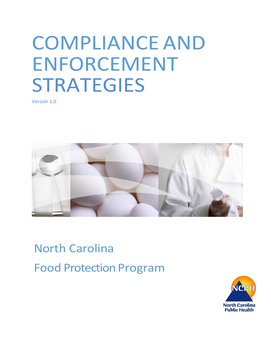# COMPLIANCE AND ENFORCEMENT STRATEGIES

Version 1.0



North Carolina Food Protection Program

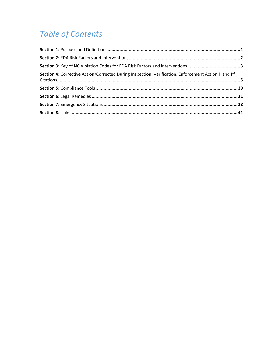# **Table of Contents**

| Section 4: Corrective Action/Corrected During Inspection, Verification, Enforcement Action P and Pf |  |
|-----------------------------------------------------------------------------------------------------|--|
|                                                                                                     |  |
|                                                                                                     |  |
|                                                                                                     |  |
|                                                                                                     |  |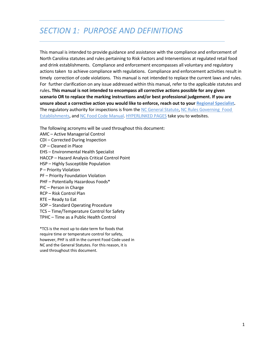# *SECTION 1: PURPOSE AND DEFINITIONS*

This manual is intended to provide guidance and assistance with the compliance and enforcement of North Carolina statutes and rules pertaining to Risk Factors and Interventions at regulated retail food and drink establishments. Compliance and enforcement encompasses all voluntary and regulatory actions taken to achieve compliance with regulations. Compliance and enforcement activities result in timely correction of code violations. This manual is not intended to replace the current laws and rules. For further clarification on any issue addressed within this manual, refer to the applicable statutes and rules**. This manual is not intended to encompass all corrective actions possible for any given scenario OR to replace the marking instructions and/or best professional judgement. If you are unsure about a corrective action you would like to enforce, reach out to your [Regional Specialist.](https://ehs.ncpublichealth.com/faf/docs/foodprot/RegionalFoodMapMay28-2018.pdf)** The regulatory authority for inspections is from the NC [General](https://www.ncleg.net/enactedlegislation/statutes/html/bychapter/chapter_130a.html) Statute, NC Rules [Governing](https://ehs.ncpublichealth.com/docs/rules/294306-26-2600.pdf) Food [Establishments,](https://ehs.ncpublichealth.com/docs/rules/294306-26-2600.pdf) and NC Food Code [Manual.](https://ehs.ncpublichealth.com/faf/docs/foodprot/NC-FoodCodeManual-2009-FINAL.pdf) HYPERLINKED PAGES take you to websites.

The following acronyms will be used throughout this document:

- AMC Active Managerial Control
- CDI Corrected During Inspection
- CIP Cleaned in Place
- EHS Environmental Health Specialist
- HACCP Hazard Analysis Critical Control Point
- HSP Highly Susceptible Population
- P Priority Violation
- PF Priority Foundation Violation
- PHF Potentially Hazardous Foods\*
- PIC Person in Charge
- RCP Risk Control Plan
- RTE Ready to Eat
- SOP Standard Operating Procedure
- TCS Time/Temperature Control for Safety
- TPHC Time as a Public Health Control

\*TCS is the most up to date term for foods that require time or temperature control for safety, however, PHF is still in the current Food Code used in NC and the General Statutes. For this reason, it is used throughout this document.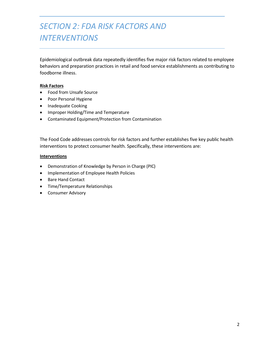# <span id="page-3-0"></span>*SECTION 2: FDA RISK FACTORS AND INTERVENTIONS*

Epidemiological outbreak data repeatedly identifies five major risk factors related to employee behaviors and preparation practices in retail and food service establishments as contributing to foodborne illness.

#### **Risk Factors**

- Food from Unsafe Source
- Poor Personal Hygiene
- Inadequate Cooking
- Improper Holding/Time and Temperature
- Contaminated Equipment/Protection from Contamination

The Food Code addresses controls for risk factors and further establishes five key public health interventions to protect consumer health. Specifically, these interventions are:

#### **Interventions**

- Demonstration of Knowledge by Person in Charge (PIC)
- Implementation of Employee Health Policies
- Bare Hand Contact
- Time/Temperature Relationships
- Consumer Advisory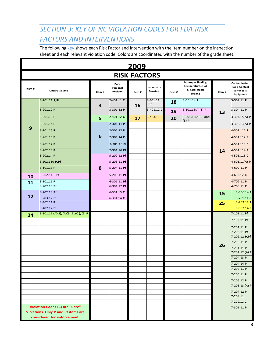### <span id="page-4-0"></span>*SECTION 3: KEY OF NC VIOLATION CODES FOR FDA RISK FACTORS AND INTERVENTIONS*

The followin[g key](http://www.wakegov.com/food/healthinspections/rules/Documents/Enforcement%20manual/Violation%20Codes%20for%20Standard%206%20-%202009.pdf) shows each Risk Factor and Intervention with the item number on the inspection sheet and each relevant violation code. Colors are coordinated with the number of the grade sheet.

|       | <u> 2009</u>                                                                 |       |                             |                     |                          |       |                                                                                |       |                                                                |
|-------|------------------------------------------------------------------------------|-------|-----------------------------|---------------------|--------------------------|-------|--------------------------------------------------------------------------------|-------|----------------------------------------------------------------|
|       |                                                                              |       |                             | <b>RISK FACTORS</b> |                          |       |                                                                                |       |                                                                |
| Item# | <b>Unsafe Source</b>                                                         | Item# | Poor<br>Personal<br>Hygiene | Item#               | Inadequate<br>Cooking    | Item# | <b>Improper Holding</b><br><b>Temperatures Hot</b><br>& Cold, Rapid<br>cooling | Item# | Contaminated<br><b>Food Contact</b><br>Surfaces &<br>Equipment |
|       | 3-201.11 P,Pf                                                                |       | 2-401.11 C                  |                     | 3-401.11<br>P,Pf         | 18    | 3-501.14 P                                                                     |       | 3-302.11 P                                                     |
|       | $3 - 201.12$ P                                                               | 4     | 3-301.12 P                  | 16                  | 3-401.12 C               | 19    | $3-501.16(A)(1)$ P                                                             | 13    | 3-304.11 P                                                     |
|       | $3 - 201.13$ P                                                               | 5     | 2-401.12 C                  | 17                  | $3 - 403.11$ P           | 20    | $3-501.16(A)(2)$ and                                                           |       | $3-304.15(A)$ P                                                |
|       | 3-201.14 P                                                                   |       | $2 - 301.11$ P              |                     |                          |       | $(B)$ $P$                                                                      |       | 3-306.13(A) $P$                                                |
| 9     | $3 - 201.15$ P                                                               |       | 2-301.12 P                  |                     |                          |       |                                                                                |       | 4-501.111 P                                                    |
|       | $3 - 201.16$ P                                                               | 6     | 2-301.14 P                  |                     | $\overline{\phantom{a}}$ |       |                                                                                |       | 4-501.112 Pf                                                   |
|       | $3 - 201.17$ P                                                               |       | 2-301.15 Pf                 |                     |                          |       |                                                                                |       | 4-501.113 C                                                    |
|       | $3 - 202.13$ P                                                               |       | 2-301.16 Pf                 |                     |                          |       |                                                                                | 14    | 4-501.114 P                                                    |
|       | $3 - 202.14$ P                                                               |       | 5-202.12 Pf                 |                     |                          |       |                                                                                |       | 4-501.115 C                                                    |
|       | 3-202.110 P,Pf<br>$5-101.13$ P                                               | 8     | 5-203.11 Pf<br>5-204.11 Pf  |                     |                          |       |                                                                                |       | 4-601.11(A) $P$<br>4-602.11 P                                  |
|       |                                                                              |       |                             |                     |                          |       |                                                                                |       |                                                                |
| 10    | 3-202.11 P, Pf                                                               |       | 5-205.11 Pf                 |                     |                          |       |                                                                                |       | 4-602.12 C                                                     |
| 11    | 3-101.11 P<br>3-202.15 Pf                                                    |       | 6-301.11 Pf<br>6-301.12 Pf  |                     |                          |       |                                                                                |       | 4-702.11 P<br>4-703.11 P                                       |
|       | 3-202.18 Pf                                                                  |       | 6-301.13 C                  |                     |                          |       |                                                                                | 15    | 3-306.14 P                                                     |
| 12    | 3-203.12 Pf                                                                  |       | 6-301.14 C                  |                     |                          |       |                                                                                |       | 3-701.11 C                                                     |
|       | 3-402.11 P                                                                   |       |                             |                     |                          |       |                                                                                | 25    | 3-202.12 P                                                     |
|       | 3-402.12 Pf<br>3-801.11 (A)(2), (A)(3)(B),(C), (E) <b>P</b>                  |       |                             |                     |                          |       |                                                                                |       | 3-302.14 P<br>7-101.11 Pf                                      |
| 24    |                                                                              |       |                             |                     |                          |       |                                                                                |       | 7-102.11 Pf                                                    |
|       |                                                                              |       |                             |                     |                          |       |                                                                                |       | 7-201.11 P                                                     |
|       |                                                                              |       |                             |                     |                          |       |                                                                                |       | 7-202.11 Pf                                                    |
|       |                                                                              |       |                             |                     |                          |       |                                                                                |       | 7-202.12 P, Pf                                                 |
|       |                                                                              |       |                             |                     |                          |       |                                                                                | 26    | 7-203.11 P                                                     |
|       |                                                                              |       |                             |                     |                          |       |                                                                                |       | 7-204.11 P<br>7-204.12 (A) P                                   |
|       |                                                                              |       |                             |                     |                          |       |                                                                                |       | 7-204.13 P                                                     |
|       |                                                                              |       |                             |                     |                          |       |                                                                                |       | 7-204.14 P                                                     |
|       |                                                                              |       |                             |                     |                          |       |                                                                                |       | 7-205.11 P                                                     |
|       |                                                                              |       |                             |                     |                          |       |                                                                                |       | 7-206.11 P                                                     |
|       |                                                                              |       |                             |                     |                          |       |                                                                                |       | 7-206.12 P<br>7-206.13 (A) P                                   |
|       |                                                                              |       |                             |                     |                          |       |                                                                                |       | 7-207.12 P                                                     |
|       |                                                                              |       |                             |                     |                          |       |                                                                                |       | 7-208.11                                                       |
|       |                                                                              |       |                             |                     |                          |       |                                                                                |       | 7-209.11 C                                                     |
|       | Violation Codes (C) are "Core"<br><b>Violations. Only P and Pf items are</b> |       |                             |                     |                          |       |                                                                                |       | 7-301.11 P                                                     |
|       | considered for enforcement.                                                  |       |                             |                     |                          |       |                                                                                |       |                                                                |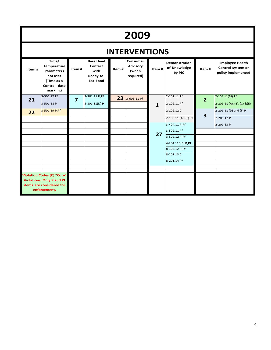# **2009**

|       | <b>INTERVENTIONS</b>                                                                                              |                |                                                                     |       |                                                   |              |                                                 |                         |                                                                   |
|-------|-------------------------------------------------------------------------------------------------------------------|----------------|---------------------------------------------------------------------|-------|---------------------------------------------------|--------------|-------------------------------------------------|-------------------------|-------------------------------------------------------------------|
| Item# | Time/<br>Temperature<br><b>Parameters</b><br>not Met<br>(Time as a<br>Control, date<br>marking)                   | Item#          | <b>Bare Hand</b><br>Contact<br>with<br>Ready-to-<br><b>Eat Food</b> | Item# | Consumer<br><b>Advisory</b><br>(when<br>required) | Item#        | <b>Demonstration</b><br>of Knowledge<br>by PIC  | Item#                   | <b>Employee Health</b><br>Control system or<br>policy implemented |
| 21    | 3-501.17 Pf<br>3-501.18 P                                                                                         | $\overline{7}$ | 3-301.11 P, Pf<br>3-801.11(D) P                                     | 23    | 3-603.11 Pf                                       | $\mathbf{1}$ | 2-101.11 Pf<br>2-102.11 Pf                      | $\overline{2}$          | $2-103.11(M)$ Pf<br>2-201.11 (A), (B), (C) & (E)                  |
| 22    | 3-501.19 P,Pf                                                                                                     |                |                                                                     |       |                                                   |              | 2-102.12 C<br>2-103.11 (A) -(L) Pf              | $\overline{\mathbf{3}}$ | 2-201.11 (D) and (F) P<br>2-201.12 P                              |
|       |                                                                                                                   |                |                                                                     |       |                                                   | 27           | 3-404.11 P, Pf<br>3-502.11 Pf<br>3-502.12 P, Pf |                         | 2-201.13 P                                                        |
|       |                                                                                                                   |                |                                                                     |       |                                                   |              | 4-204.110(B) P, Pf<br>8-103.12 P.Pf             |                         |                                                                   |
|       |                                                                                                                   |                |                                                                     |       |                                                   |              | 8-201.13 C<br>8-201.14 Pf                       |                         |                                                                   |
|       |                                                                                                                   |                |                                                                     |       |                                                   |              |                                                 |                         |                                                                   |
|       | <b>Violation Codes (C) "Core"</b><br><b>Violations. Only P and Pf</b><br>items are considered for<br>enforcement. |                |                                                                     |       |                                                   |              |                                                 |                         |                                                                   |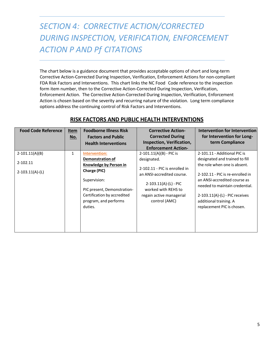# <span id="page-6-0"></span>*SECTION 4: CORRECTIVE ACTION/CORRECTED DURING INSPECTION, VERIFICATION, ENFORCEMENT ACTION P AND Pf CITATIONS*

The chart below is a guidance document that provides acceptable options of short and long-term Corrective Action-Corrected During Inspection, Verification, Enforcement Actions for non-compliant FDA Risk Factors and Interventions. This chart links the NC Food Code reference to the inspection form item number, then to the Corrective Action-Corrected During Inspection, Verification, Enforcement Action. The Corrective Action-Corrected During Inspection, Verification, Enforcement Action is chosen based on the severity and recurring nature of the violation. Long term compliance options address the continuing control of Risk Factors and Interventions.

| <b>Foodborne Illness Risk</b>                                                                                                  | <b>Corrective Action-</b>                                                                                                                                  | Intervention for Intervention                                                                                                                                                                   |
|--------------------------------------------------------------------------------------------------------------------------------|------------------------------------------------------------------------------------------------------------------------------------------------------------|-------------------------------------------------------------------------------------------------------------------------------------------------------------------------------------------------|
| <b>Factors and Public</b>                                                                                                      | <b>Corrected During</b>                                                                                                                                    | for Intervention for Long-                                                                                                                                                                      |
| <b>Health Interventions</b>                                                                                                    | Inspection, Verification,                                                                                                                                  | term Compliance                                                                                                                                                                                 |
|                                                                                                                                | <b>Enforcement Action-</b>                                                                                                                                 |                                                                                                                                                                                                 |
| <b>Intervention:</b>                                                                                                           | $2-101.11(A)(B) - PIC$ is                                                                                                                                  | 2-101.11 - Additional PIC is                                                                                                                                                                    |
| <b>Demonstration of</b>                                                                                                        | designated.                                                                                                                                                | designated and trained to fill                                                                                                                                                                  |
| <b>Knowledge by Person in</b>                                                                                                  |                                                                                                                                                            | the role when one is absent.                                                                                                                                                                    |
| Charge (PIC)<br>Supervision:<br>PIC present, Demonstration-<br>Certification by accredited<br>program, and performs<br>duties. | 2-102.11 - PIC is enrolled in<br>an ANSI-accredited course.<br>$2-103.11(A)-(L) - PIC$<br>worked with REHS to<br>regain active managerial<br>control (AMC) | 2-102.11 - PIC is re-enrolled in<br>an ANSI-accredited course as<br>needed to maintain credential.<br>$2-103.11(A)$ -(L) - PIC receives<br>additional training. A<br>replacement PIC is chosen. |
|                                                                                                                                |                                                                                                                                                            |                                                                                                                                                                                                 |

#### **RISK FACTORS AND PUBLIC HEALTH INTERVENTIONS**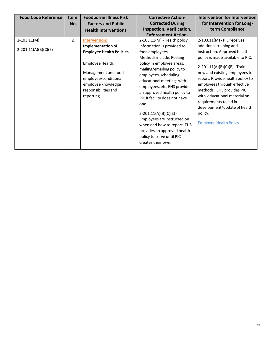| <b>Food Code Reference</b> | Item           | <b>Foodborne Illness Risk</b>                                                                                               | <b>Corrective Action-</b>                                                                                                                                                                                                                                                                                                                                                                          | <b>Intervention for Intervention</b>                                                                                                                                                                                                                                                                |
|----------------------------|----------------|-----------------------------------------------------------------------------------------------------------------------------|----------------------------------------------------------------------------------------------------------------------------------------------------------------------------------------------------------------------------------------------------------------------------------------------------------------------------------------------------------------------------------------------------|-----------------------------------------------------------------------------------------------------------------------------------------------------------------------------------------------------------------------------------------------------------------------------------------------------|
|                            | <u>No.</u>     | <b>Factors and Public</b>                                                                                                   | <b>Corrected During</b>                                                                                                                                                                                                                                                                                                                                                                            | for Intervention for Long-                                                                                                                                                                                                                                                                          |
|                            |                | <b>Health Interventions</b>                                                                                                 | Inspection, Verification,                                                                                                                                                                                                                                                                                                                                                                          | term Compliance                                                                                                                                                                                                                                                                                     |
|                            |                |                                                                                                                             | <b>Enforcement Action-</b>                                                                                                                                                                                                                                                                                                                                                                         |                                                                                                                                                                                                                                                                                                     |
| $2 - 103.11(M)$            | $\overline{2}$ | Intervention:                                                                                                               | 2-103.11(M) - Health policy                                                                                                                                                                                                                                                                                                                                                                        | 2-103.11(M) - PIC receives                                                                                                                                                                                                                                                                          |
|                            |                | Implementation of                                                                                                           | information is provided to                                                                                                                                                                                                                                                                                                                                                                         | additional training and                                                                                                                                                                                                                                                                             |
| $2-201.11(A)(B)(C)(E)$     |                | <b>Employee Health Policies</b>                                                                                             | food employees.                                                                                                                                                                                                                                                                                                                                                                                    | instruction. Approved health                                                                                                                                                                                                                                                                        |
|                            |                |                                                                                                                             | Methods include: Posting                                                                                                                                                                                                                                                                                                                                                                           | policy is made available to PIC.                                                                                                                                                                                                                                                                    |
|                            |                | Employee Health:<br>Management and food<br>employee/conditional<br>employee knowledge<br>responsibilities and<br>reporting. | policy in employee areas,<br>mailing/emailing policy to<br>employees, scheduling<br>educational meetings with<br>employees, etc. EHS provides<br>an approved health policy to<br>PIC if facility does not have<br>one.<br>$2-201.11(A)(B)(C)(E) -$<br>Employees are instructed on<br>when and how to report. EHS<br>provides an approved health<br>policy to serve until PIC<br>creates their own. | 2-201.11(A)(B)(C)(E) - Train<br>new and existing employees to<br>report. Provide health policy to<br>employees through effective<br>methods. EHS provides PIC<br>with educational material on<br>requirements to aid in<br>development/update of health<br>policy.<br><b>Employee Health Policy</b> |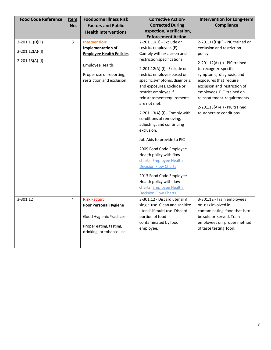| <b>Food Code Reference</b> | <u>Item</u> | <b>Foodborne Illness Risk</b>   | <b>Corrective Action-</b>      | <b>Intervention for Long-term</b>                      |
|----------------------------|-------------|---------------------------------|--------------------------------|--------------------------------------------------------|
|                            | No.         | <b>Factors and Public</b>       | <b>Corrected During</b>        | <b>Compliance</b>                                      |
|                            |             | <b>Health Interventions</b>     | Inspection, Verification,      |                                                        |
|                            |             |                                 | <b>Enforcement Action-</b>     |                                                        |
| $2-201.11(D)(F)$           | 3           | <b>Intervention:</b>            | 2-201.11(D) - Exclude or       | 2-201.11(D)(F) - PIC trained on                        |
|                            |             | <b>Implementation of</b>        | restrict employee. (F) -       | exclusion and restriction                              |
| $2-201.12(A)-(I)$          |             | <b>Employee Health Policies</b> | Comply with exclusion and      | policy.                                                |
| $2-201.13(A)-(I)$          |             |                                 | restriction specifications.    |                                                        |
|                            |             | Employee Health:                | 2-201.12(A)-(I) - Exclude or   | 2-201.12(A)-(I) - PIC trained<br>to recognize specific |
|                            |             | Proper use of reporting,        |                                |                                                        |
|                            |             |                                 | restrict employee based on     | symptoms, diagnosis, and                               |
|                            |             | restriction and exclusion.      | specific symptoms, diagnosis,  | exposures that require                                 |
|                            |             |                                 | and exposures. Exclude or      | exclusion and restriction of                           |
|                            |             |                                 | restrict employee if           | employees. PIC trained on                              |
|                            |             |                                 | reinstatement requirements     | reinstatement requirements.                            |
|                            |             |                                 | are not met.                   | 2-201.13(A)-(I) - PIC trained                          |
|                            |             |                                 | 2-201.13(A)-(I) - Comply with  | to adhere to conditions.                               |
|                            |             |                                 | conditions of removing,        |                                                        |
|                            |             |                                 | adjusting, and continuing      |                                                        |
|                            |             |                                 | exclusion.                     |                                                        |
|                            |             |                                 |                                |                                                        |
|                            |             |                                 | Job Aids to provide to PIC     |                                                        |
|                            |             |                                 | 2009 Food Code Employee        |                                                        |
|                            |             |                                 | Health policy with flow        |                                                        |
|                            |             |                                 | charts: Employee Health        |                                                        |
|                            |             |                                 | <b>Decision Flow Charts</b>    |                                                        |
|                            |             |                                 |                                |                                                        |
|                            |             |                                 | 2013 Food Code Employee        |                                                        |
|                            |             |                                 | Health policy with flow        |                                                        |
|                            |             |                                 | charts: Employee Health        |                                                        |
|                            |             |                                 | <b>Decision Flow Charts</b>    |                                                        |
| 3-301.12                   | 4           | <b>Risk Factor:</b>             | 3-301.12 - Discard utensil if  | 3-301.12 - Train employees                             |
|                            |             | <b>Poor Personal Hygiene</b>    | single-use. Clean and sanitize | on risk involved in                                    |
|                            |             |                                 | utensil if multi-use. Discard  | contaminating food that is to                          |
|                            |             | <b>Good Hygienic Practices:</b> | portion of food                | be sold or served. Train                               |
|                            |             |                                 | contaminated by food           | employees on proper method                             |
|                            |             | Proper eating, tasting,         | employee.                      | of taste testing food.                                 |
|                            |             | drinking, or tobacco use.       |                                |                                                        |
|                            |             |                                 |                                |                                                        |
|                            |             |                                 |                                |                                                        |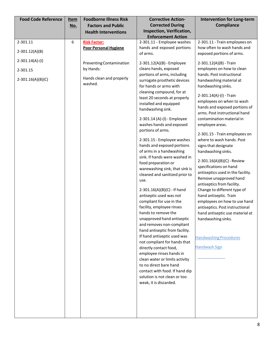| <b>Food Code Reference</b>                               | <u>Item</u><br>No. | <b>Foodborne Illness Risk</b><br><b>Factors and Public</b><br><b>Health Interventions</b> | <b>Corrective Action-</b><br><b>Corrected During</b><br>Inspection, Verification,<br><b>Enforcement Action</b>                                                                                                                                                                                                                                                                                                                                                                                                                                                                                                                                                                                                                                                                                                                                                                                                                                                    | <b>Intervention for Long-term</b><br>Compliance                                                                                                                                                                                                                                                                                                                                                                                                                                                                                                                                                                                                                                                                                                                                                                            |
|----------------------------------------------------------|--------------------|-------------------------------------------------------------------------------------------|-------------------------------------------------------------------------------------------------------------------------------------------------------------------------------------------------------------------------------------------------------------------------------------------------------------------------------------------------------------------------------------------------------------------------------------------------------------------------------------------------------------------------------------------------------------------------------------------------------------------------------------------------------------------------------------------------------------------------------------------------------------------------------------------------------------------------------------------------------------------------------------------------------------------------------------------------------------------|----------------------------------------------------------------------------------------------------------------------------------------------------------------------------------------------------------------------------------------------------------------------------------------------------------------------------------------------------------------------------------------------------------------------------------------------------------------------------------------------------------------------------------------------------------------------------------------------------------------------------------------------------------------------------------------------------------------------------------------------------------------------------------------------------------------------------|
| 2-301.11<br>$2-301.12(A)(B)$                             | 6                  | <b>Risk Factor:</b><br><b>Poor Personal Hygiene</b>                                       | 2-301.11 - Employee washes<br>hands and exposed portions<br>of arms.                                                                                                                                                                                                                                                                                                                                                                                                                                                                                                                                                                                                                                                                                                                                                                                                                                                                                              | 2-301.11 - Train employees on<br>how often to wash hands and<br>exposed portions of arms.                                                                                                                                                                                                                                                                                                                                                                                                                                                                                                                                                                                                                                                                                                                                  |
| $2 - 301.14(A) - (1)$<br>2-301.15<br>$2-301.16(A)(B)(C)$ |                    | Preventing Contamination<br>by Hands:<br>Hands clean and properly<br>washed.              | 2-301.12(A)(B) - Employee<br>cleans hands, exposed<br>portions of arms, including<br>surrogate prosthetic devices<br>for hands or arms with<br>cleaning compound, for at<br>least 20 seconds at properly<br>installed and equipped<br>handwashing sink.<br>2-301.14 (A)-(I) - Employee<br>washes hands and exposed<br>portions of arms.<br>2-301.15 - Employee washes<br>hands and exposed portions<br>of arms in a handwashing<br>sink. If hands were washed in<br>food preparation or<br>warewashing sink, that sink is<br>cleaned and sanitized prior to<br>use.<br>2-301.16(A)(B)(C) - If hand<br>antiseptic used was not<br>compliant for use in the<br>facility, employee rinses<br>hands to remove the<br>unapproved hand antiseptic<br>and removes non-compliant<br>hand antiseptic from facility.<br>If hand antiseptic used was<br>not compliant for hands that<br>directly contact food,<br>employee rinses hands in<br>clean water or limits activity | 2-301.12(A)(B) - Train<br>employees on how to clean<br>hands. Post instructional<br>handwashing material at<br>handwashing sinks.<br>2-301.14(A)-(I) - Train<br>employees on when to wash<br>hands and exposed portions of<br>arms. Post instructional hand<br>contamination material in<br>employee areas.<br>2-301.15 - Train employees on<br>where to wash hands. Post<br>signs that designate<br>handwashing sinks.<br>2-301.16(A)(B)(C) - Review<br>specifications on hand<br>antiseptics used in the facility.<br>Remove unapproved hand<br>antiseptics from facility.<br>Change to different type of<br>hand antiseptic. Train<br>employees on how to use hand<br>antiseptics. Post instructional<br>hand antiseptic use material at<br>handwashing sinks.<br><b>Handwashing Procedures</b><br><b>Handwash Sign</b> |
|                                                          |                    |                                                                                           | to no direct bare hand<br>contact with food. If hand dip<br>solution is not clean or too<br>weak, it is discarded.                                                                                                                                                                                                                                                                                                                                                                                                                                                                                                                                                                                                                                                                                                                                                                                                                                                |                                                                                                                                                                                                                                                                                                                                                                                                                                                                                                                                                                                                                                                                                                                                                                                                                            |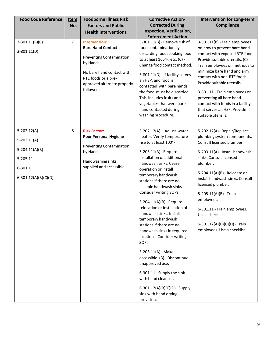| <b>Food Code Reference</b><br>$3-301.11(B)(C)$<br>$3-801.11(D)$ | <b>Item</b><br>No.<br>7 | <b>Foodborne Illness Risk</b><br><b>Factors and Public</b><br><b>Health Interventions</b><br><b>Intervention:</b><br><b>Bare Hand Contact</b><br>Preventing Contamination<br>by Hands:<br>No bare hand contact with<br>RTE foods or a pre-<br>approved alternate properly<br>followed. | <b>Corrective Action-</b><br><b>Corrected During</b><br>Inspection, Verification,<br><b>Enforcement Action</b><br>3-301.11(B) - Remove risk of<br>food contamination by<br>discarding food, cooking food<br>to at least 165°F, etc. (C) -<br>Change food contact method.<br>3-801.11(D) - If facility serves<br>an HSP, and food is<br>contacted with bare hands<br>the food must be discarded.                                                                                                                                                                                                                                    | <b>Intervention for Long-term</b><br><b>Compliance</b><br>3-301.11(B) - Train employees<br>on how to prevent bare hand<br>contact with exposed RTE food.<br>Provide suitable utensils. (C) -<br>Train employees on methods to<br>minimize bare hand and arm<br>contact with non-RTE foods.<br>Provide suitable utensils.<br>3-801.11 - Train employees on |
|-----------------------------------------------------------------|-------------------------|----------------------------------------------------------------------------------------------------------------------------------------------------------------------------------------------------------------------------------------------------------------------------------------|------------------------------------------------------------------------------------------------------------------------------------------------------------------------------------------------------------------------------------------------------------------------------------------------------------------------------------------------------------------------------------------------------------------------------------------------------------------------------------------------------------------------------------------------------------------------------------------------------------------------------------|-----------------------------------------------------------------------------------------------------------------------------------------------------------------------------------------------------------------------------------------------------------------------------------------------------------------------------------------------------------|
| $5-202.12(A)$<br>$5-203.11(A)$<br>$5-204.11(A)(B)$              | 8                       | <b>Risk Factor:</b><br><b>Poor Personal Hygiene</b><br>Preventing Contamination                                                                                                                                                                                                        | This includes fruits and<br>vegetables that were bare<br>hand contacted during<br>washing procedure.<br>5-202.12(A) - Adjust water<br>heater. Verify temperature<br>rise to at least 100°F.                                                                                                                                                                                                                                                                                                                                                                                                                                        | preventing all bare hand<br>contact with foods in a facility<br>that serves an HSP. Provide<br>suitable utensils.<br>5-202.12(A) - Repair/Replace<br>plumbing system components.<br>Consult licensed plumber.                                                                                                                                             |
| 5-205.11<br>6-301.11<br>6-301.12(A)(B)(C)(D)                    |                         | by Hands:<br>Handwashing sinks,<br>supplied and accessible.                                                                                                                                                                                                                            | 5-203.11(A) - Require<br>installation of additional<br>handwash sinks. Cease<br>operation or install<br>temporary handwash<br>stations if there are no<br>useable handwash sinks.<br>Consider writing SOPs.<br>5-204.11(A)(B) - Require<br>relocation or installation of<br>handwash sinks. Install<br>temporary handwash<br>stations if there are no<br>handwash sinks in required<br>locations. Consider writing<br>SOPs.<br>5-205.11(A) - Make<br>accessible. (B) - Discontinue<br>unapproved use.<br>6-301.11 - Supply the sink<br>with hand cleanser.<br>6-301.12(A)(B)(C)(D) - Supply<br>sink with hand drying<br>provision. | 5-203.11(A) - Install handwash<br>sinks. Consult licensed<br>plumber.<br>5-204.11(A)(B) - Relocate or<br>install handwash sinks. Consult<br>licensed plumber.<br>5-205.11(A)(B) - Train<br>employees.<br>6-301.11 - Train employees.<br>Use a checklist.<br>6-301.12(A)(B)(C)(D) - Train<br>employees. Use a checklist.                                   |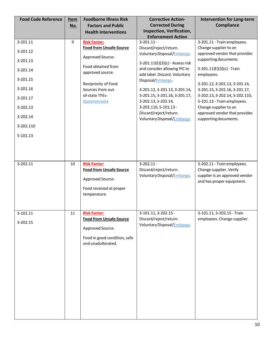| <b>Food Code Reference</b> | <b>Item</b><br>No. | <b>Foodborne Illness Risk</b><br><b>Factors and Public</b><br><b>Health Interventions</b>                                       | <b>Corrective Action-</b><br><b>Corrected During</b><br>Inspection, Verification, | <b>Intervention for Long-term</b><br><b>Compliance</b>                                                                |
|----------------------------|--------------------|---------------------------------------------------------------------------------------------------------------------------------|-----------------------------------------------------------------------------------|-----------------------------------------------------------------------------------------------------------------------|
| 3-201.11                   | 9                  | <b>Risk Factor:</b>                                                                                                             | <b>Enforcement Action</b><br>$3-201.11 -$                                         | 3-201.11 - Train employees.                                                                                           |
| 3-201.12                   |                    | <b>Food from Unsafe Source</b>                                                                                                  | Discard/reject/return.<br>Voluntary Disposal/Embargo.                             | Change supplier to an<br>approved vendor that provides                                                                |
| 3-201.13                   |                    | Approved Source:                                                                                                                | 3-201.11(E)(3)(c) - Assess risk                                                   | supporting documents.                                                                                                 |
| 3-201.14                   |                    | Food obtained from<br>approved source.                                                                                          | and consider allowing PIC to<br>add label. Discard. Voluntary                     | $3-201.11(E)(3)(c)$ - Train<br>employees.                                                                             |
| 3-201.15                   |                    | Reciprocity of Food                                                                                                             | Disposal/Embargo                                                                  | 3-201.12, 3-201.13, 3-201.14,                                                                                         |
| 3-201.16                   |                    | Sources from out-                                                                                                               | 3-201.12, 3-201.13, 3-201.14,                                                     | 3-201.15, 3-201.16, 3-201.17,                                                                                         |
| 3-201.17                   |                    | of-state TFEs-<br><b>Questionnaire</b>                                                                                          | 3-201.15, 3-201.16, 3-201.17,<br>3-202.13, 3-202.14,                              | 3-202.13, 3-202.14, 3-202.110,<br>5-101.13 - Train employees.                                                         |
| 3-202.13                   |                    |                                                                                                                                 | 3-202.110, 5-101.13 -<br>Discard/reject/return.                                   | Change supplier to an<br>approved vendor that provides                                                                |
| 3-202.14                   |                    |                                                                                                                                 | Voluntary Disposal/Embargo.                                                       | supporting documents.                                                                                                 |
| 3-202.110                  |                    |                                                                                                                                 |                                                                                   |                                                                                                                       |
| 5-101.13                   |                    |                                                                                                                                 |                                                                                   |                                                                                                                       |
|                            |                    |                                                                                                                                 |                                                                                   |                                                                                                                       |
| 3-202.11                   | 10                 | <b>Risk Factor:</b><br><b>Food from Unsafe Source</b><br>Approved Source:<br>Food received at proper<br>temperature.            | $3 - 202.11 -$<br>Discard/reject/return.<br>Voluntary Disposal/Embargo.           | 3-202.11 - Train employees.<br>Change supplier. Verify<br>supplier is an approved vendor<br>and has proper equipment. |
| 3-101.11<br>3-202.15       | 11                 | <b>Risk Factor:</b><br><b>Food from Unsafe Source</b><br>Approved Source:<br>Food in good condition, safe<br>and unadulterated. | 3-101.11, 3-202.15 -<br>Discard/reject/return.<br>Voluntary Disposal/Embargo.     | 3-101.11, 3-202.15 - Train<br>employees. Change supplier.                                                             |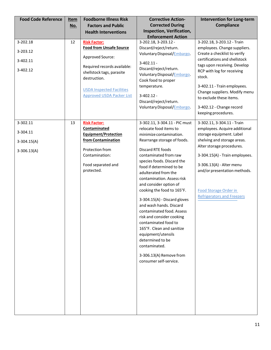| <b>Food Code Reference</b>                             | <u>Item</u><br>No. | <b>Foodborne Illness Risk</b><br><b>Factors and Public</b>                                                                                                                                                                    | <b>Corrective Action-</b><br><b>Corrected During</b>                                                                                                                                                                                                                                                                                                                                                                                                                                                                                                                                                                              | <b>Intervention for Long-term</b><br><b>Compliance</b>                                                                                                                                                                                                                                                                                            |
|--------------------------------------------------------|--------------------|-------------------------------------------------------------------------------------------------------------------------------------------------------------------------------------------------------------------------------|-----------------------------------------------------------------------------------------------------------------------------------------------------------------------------------------------------------------------------------------------------------------------------------------------------------------------------------------------------------------------------------------------------------------------------------------------------------------------------------------------------------------------------------------------------------------------------------------------------------------------------------|---------------------------------------------------------------------------------------------------------------------------------------------------------------------------------------------------------------------------------------------------------------------------------------------------------------------------------------------------|
|                                                        |                    | <b>Health Interventions</b>                                                                                                                                                                                                   | <b>Inspection, Verification,</b><br><b>Enforcement Action</b>                                                                                                                                                                                                                                                                                                                                                                                                                                                                                                                                                                     |                                                                                                                                                                                                                                                                                                                                                   |
| 3-202.18<br>3-203.12<br>3-402.11<br>3-402.12           | 12                 | <b>Risk Factor:</b><br><b>Food from Unsafe Source</b><br>Approved Source:<br>Required records available:<br>shellstock tags, parasite<br>destruction.<br><b>USDA Inspected Facilities</b><br><b>Approved USDA Packer List</b> | 3-202.18, 3-203.12 -<br>Discard/reject/return.<br>Voluntary Disposal/Embargo.<br>$3-402.11 -$<br>Discard/reject/return.<br>Voluntary Disposal/Embargo.<br>Cook food to proper<br>temperature.<br>$3-402.12 -$<br>Discard/reject/return.<br>Voluntary Disposal/Embargo.                                                                                                                                                                                                                                                                                                                                                            | 3-202.18, 3-203.12 - Train<br>employees. Change suppliers.<br>Create a checklist to verify<br>certifications and shellstock<br>tags upon receiving. Develop<br>RCP with log for receiving<br>stock.<br>3-402.11 - Train employees.<br>Change suppliers. Modify menu<br>to exclude these items.<br>3-402.12 - Change record<br>keeping procedures. |
| 3-302.11<br>3-304.11<br>$3-304.15(A)$<br>$3-306.13(A)$ | 13                 | <b>Risk Factor:</b><br>Contaminated<br><b>Equipment/Protection</b><br>from Contamination<br>Protection from<br>Contamination:<br>Food separated and<br>protected.                                                             | 3-302.11, 3-304.11 - PIC must<br>relocate food items to<br>minimize contamination.<br>Rearrange storage of foods.<br>Discard RTE foods<br>contaminated from raw<br>species foods. Discard the<br>food if determined to be<br>adulterated from the<br>contamination. Assess risk<br>and consider option of<br>cooking the food to 165°F.<br>3-304.15(A) - Discard gloves<br>and wash hands. Discard<br>contaminated food. Assess<br>risk and consider cooking<br>contaminated food to<br>165°F. Clean and sanitize<br>equipment/utensils<br>determined to be<br>contaminated.<br>3-306.13(A) Remove from<br>consumer self-service. | 3-302.11, 3-304.11 - Train<br>employees. Acquire additional<br>storage equipment. Label<br>shelving and storage areas.<br>Alter storage procedures.<br>3-304.15(A) - Train employees.<br>3-306.13(A) - Alter menu<br>and/or presentation methods.<br>Food Storage Order in<br><b>Refrigerators and Freezers</b>                                   |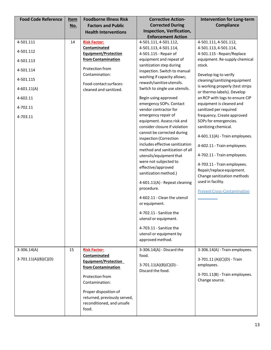| <b>Food Code Reference</b>                                                                                           | <u>Item</u> | <b>Foodborne Illness Risk</b>                                                                                                                                                                                                | <b>Corrective Action-</b>                                                                                                                                                                                                                                                                                                                                                                                                                                                                                                                                                                                                                                                                                                                                                                                                                                                  | <b>Intervention for Long-term</b>                                                                                                                                                                                                                                                                                                                                                                                                                                                                                                                                                                                                                                                |
|----------------------------------------------------------------------------------------------------------------------|-------------|------------------------------------------------------------------------------------------------------------------------------------------------------------------------------------------------------------------------------|----------------------------------------------------------------------------------------------------------------------------------------------------------------------------------------------------------------------------------------------------------------------------------------------------------------------------------------------------------------------------------------------------------------------------------------------------------------------------------------------------------------------------------------------------------------------------------------------------------------------------------------------------------------------------------------------------------------------------------------------------------------------------------------------------------------------------------------------------------------------------|----------------------------------------------------------------------------------------------------------------------------------------------------------------------------------------------------------------------------------------------------------------------------------------------------------------------------------------------------------------------------------------------------------------------------------------------------------------------------------------------------------------------------------------------------------------------------------------------------------------------------------------------------------------------------------|
|                                                                                                                      | No.         | <b>Factors and Public</b>                                                                                                                                                                                                    | <b>Corrected During</b>                                                                                                                                                                                                                                                                                                                                                                                                                                                                                                                                                                                                                                                                                                                                                                                                                                                    | <b>Compliance</b>                                                                                                                                                                                                                                                                                                                                                                                                                                                                                                                                                                                                                                                                |
|                                                                                                                      |             | <b>Health Interventions</b>                                                                                                                                                                                                  | Inspection, Verification,                                                                                                                                                                                                                                                                                                                                                                                                                                                                                                                                                                                                                                                                                                                                                                                                                                                  |                                                                                                                                                                                                                                                                                                                                                                                                                                                                                                                                                                                                                                                                                  |
| 4-501.111<br>4-501.112<br>4-501.113<br>4-501.114<br>4-501.115<br>$4 - 601.11(A)$<br>4-602.11<br>4-702.11<br>4-703.11 | 14          | <b>Risk Factor:</b><br>Contaminated<br><b>Equipment/Protection</b><br>from Contamination<br>Protection from<br>Contamination:<br>Food-contact surfaces:<br>cleaned and sanitized.                                            | <b>Enforcement Action</b><br>4-501.111, 4-501.112,<br>4-501.113, 4-501.114,<br>4-501.115 - Repair of<br>equipment and repeat of<br>sanitization step during<br>inspection. Switch to manual<br>washing if capacity allows;<br>rewash/sanitize utensils.<br>Switch to single use utensils.<br>Begin using approved<br>emergency SOPs. Contact<br>vendor contractor for<br>emergency repair of<br>equipment. Assess risk and<br>consider closure if violation<br>cannot be corrected during<br>inspection (Correction<br>includes effective sanitization<br>method and sanitization of all<br>utensils/equipment that<br>were not subjected to<br>effective/approved<br>sanitization method.)<br>4-601.11(A) - Repeat cleaning<br>procedure.<br>4-602.11 - Clean the utensil<br>or equipment.<br>4-702.11 - Sanitize the<br>utensil or equipment.<br>4-703.11 - Sanitize the | 4-501.111, 4-501.112,<br>4-501.113, 4-501.114,<br>4-501.115 - Repair/Replace<br>equipment. Re-supply chemical<br>stock.<br>Develop log to verify<br>cleaning/sanitizing equipment<br>is working properly (test strips<br>or thermo-labels). Develop<br>an RCP with logs to ensure CIP<br>equipment is cleaned and<br>sanitized per required<br>frequency. Create approved<br>SOPs for emergencies.<br>sanitizing chemical.<br>4-601.11(A) - Train employees.<br>4-602.11 - Train employees.<br>4-702.11 - Train employees.<br>4-703.11 - Train employees.<br>Repair/replace equipment.<br>Change sanitization methods<br>used in facility.<br><b>Prevent Cross-Contamination</b> |
|                                                                                                                      |             |                                                                                                                                                                                                                              | utensil or equipment by<br>approved method.                                                                                                                                                                                                                                                                                                                                                                                                                                                                                                                                                                                                                                                                                                                                                                                                                                |                                                                                                                                                                                                                                                                                                                                                                                                                                                                                                                                                                                                                                                                                  |
| $3-306.14(A)$<br>$3-701.11(A)(B)(C)(D)$                                                                              | 15          | <b>Risk Factor:</b><br><b>Contaminated</b><br>Equipment/Protection<br>from Contamination<br>Protection from<br>Contamination:<br>Proper disposition of<br>returned, previously served,<br>reconditioned, and unsafe<br>food. | 3-306.14(A) - Discard the<br>food.<br>$3-701.11(A)(B)(C)(D) -$<br>Discard the food.                                                                                                                                                                                                                                                                                                                                                                                                                                                                                                                                                                                                                                                                                                                                                                                        | 3-306.14(A) - Train employees.<br>3-701.11 (A)(C)(D) - Train<br>employees.<br>3-701.11(B) - Train employees.<br>Change source.                                                                                                                                                                                                                                                                                                                                                                                                                                                                                                                                                   |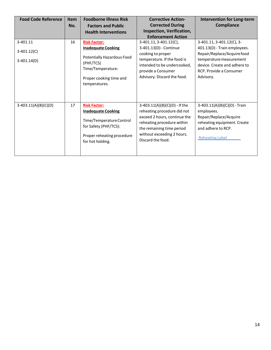| <b>Food Code Reference</b> | <b>Item</b> | <b>Foodborne Illness Risk</b> | <b>Corrective Action-</b>       | <b>Intervention for Long-term</b> |
|----------------------------|-------------|-------------------------------|---------------------------------|-----------------------------------|
|                            | No.         | <b>Factors and Public</b>     | <b>Corrected During</b>         | <b>Compliance</b>                 |
|                            |             | <b>Health Interventions</b>   | Inspection, Verification,       |                                   |
|                            |             |                               | <b>Enforcement Action</b>       |                                   |
| 3-401.11                   | 16          | <b>Risk Factor:</b>           | 3-401.11, 3-401.12(C),          | 3-401.11, 3-401.12(C), 3-         |
|                            |             | <b>Inadequate Cooking</b>     | 3-401.13(D) - Continue          | 401.13(D) - Train employees.      |
| $3-401.12(C)$              |             |                               | cooking to proper               | Repair/Replace/Acquire food       |
| $3-401.14(D)$              |             | Potentially Hazardous Food    | temperature. If the food is     | temperature measurement           |
|                            |             | (PHF/TCS)                     | intended to be undercooked,     | device. Create and adhere to      |
|                            |             | Time/Temperature:             | provide a Consumer              | RCP. Provide a Consumer           |
|                            |             | Proper cooking time and       | Advisory. Discard the food.     | Advisory.                         |
|                            |             | temperatures.                 |                                 |                                   |
|                            |             |                               |                                 |                                   |
|                            |             |                               |                                 |                                   |
| $3-403.11(A)(B)(C)(D)$     | 17          | <b>Risk Factor:</b>           | $3-403.11(A)(B)(C)(D) -$ If the | 3-403.11(A)(B)(C)(D) - Train      |
|                            |             | <b>Inadequate Cooking</b>     | reheating procedure did not     | employees.                        |
|                            |             |                               | exceed 2 hours, continue the    | Repair/Replace/Acquire            |
|                            |             | Time/Temperature Control      | reheating procedure within      | reheating equipment. Create       |
|                            |             | for Safety (PHF/TCS):         | the remaining time period       | and adhere to RCP.                |
|                            |             | Proper reheating procedure    | without exceeding 2 hours.      |                                   |
|                            |             | for hot holding.              | Discard the food.               | <b>Reheating Label</b>            |
|                            |             |                               |                                 |                                   |
|                            |             |                               |                                 |                                   |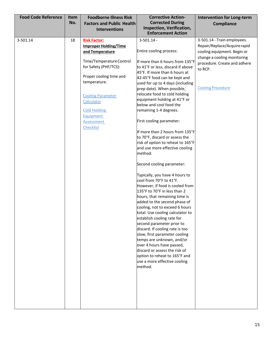| <b>Food Code Reference</b> | Item<br>No. | <b>Foodborne Illness Risk</b><br><b>Factors and Public Health</b><br><b>Interventions</b>                                                                                                                                                                                              | <b>Corrective Action-</b><br><b>Corrected During</b><br>Inspection, Verification,<br><b>Enforcement Action</b>                                                                                                                                                                                                                                                                                                                                                                                                                                                                                                                                                                                                                                                                                                                                                                                                                                                                                                                                                                                                                                                          | <b>Intervention for Long-term</b><br>Compliance                                                                                                                                                  |
|----------------------------|-------------|----------------------------------------------------------------------------------------------------------------------------------------------------------------------------------------------------------------------------------------------------------------------------------------|-------------------------------------------------------------------------------------------------------------------------------------------------------------------------------------------------------------------------------------------------------------------------------------------------------------------------------------------------------------------------------------------------------------------------------------------------------------------------------------------------------------------------------------------------------------------------------------------------------------------------------------------------------------------------------------------------------------------------------------------------------------------------------------------------------------------------------------------------------------------------------------------------------------------------------------------------------------------------------------------------------------------------------------------------------------------------------------------------------------------------------------------------------------------------|--------------------------------------------------------------------------------------------------------------------------------------------------------------------------------------------------|
| 3-501.14                   | 18          | <b>Risk Factor:</b><br><b>Improper Holding/Time</b><br>and Temperature<br>Time/Temperature Control<br>for Safety (PHF/TCS):<br>Proper cooling time and<br>temperature.<br><b>Cooling Parameter</b><br>Calculator<br><b>Cold Holding</b><br>Equipment<br>Assessment<br><b>Checklist</b> | $3 - 501.14 -$<br>Entire cooling process:<br>If more than 6 hours from 135°F<br>to 41°F or less, discard if above<br>45°F. If more than 6 hours at<br>42-45°F food can be kept and<br>used for up to 4 days (including<br>prep date). When possible,<br>relocate food to cold holding<br>equipment holding at 41°F or<br>below and cool food the<br>remaining 1-4 degrees.<br>First cooling parameter:<br>If more than 2 hours from 135°F<br>to 70°F, discard or assess the<br>risk of option to reheat to 165°F<br>and use more effective cooling<br>method.<br>Second cooling parameter:<br>Typically, you have 4 hours to<br>cool from 70°F to 41°F.<br>However, if food is cooled from<br>135°F to 70°F in less than 2<br>hours, that remaining time is<br>added to the second phase of<br>cooling, not to exceed 6 hours<br>total. Use cooling calculator to<br>establish cooling rate for<br>second parameter prior to<br>discard. If cooling rate is too<br>slow, first parameter cooling<br>temps are unknown, and/or<br>over 4 hours have passed,<br>discard or assess the risk of<br>option to reheat to 165°F and<br>use a more effective cooling<br>method. | 3-501.14 - Train employees.<br>Repair/Replace/Acquire rapid<br>cooling equipment. Begin or<br>change a cooling monitoring<br>procedure. Create and adhere<br>to RCP.<br><b>Cooling Procedure</b> |
|                            |             |                                                                                                                                                                                                                                                                                        |                                                                                                                                                                                                                                                                                                                                                                                                                                                                                                                                                                                                                                                                                                                                                                                                                                                                                                                                                                                                                                                                                                                                                                         |                                                                                                                                                                                                  |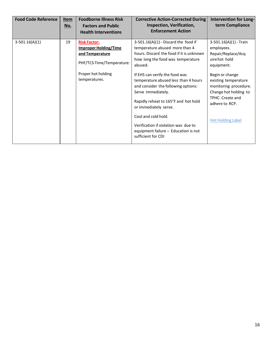| <b>Food Code Reference</b> | Item<br>No. | <b>Foodborne Illness Risk</b><br><b>Factors and Public</b><br><b>Health Interventions</b>                                                  | <b>Corrective Action-Corrected During</b><br>Inspection, Verification,<br><b>Enforcement Action</b>                                                                                                                                                                                                                                                                                                                                                                                                       | Intervention for Long-<br>term Compliance                                                                                                                                                                                                                  |
|----------------------------|-------------|--------------------------------------------------------------------------------------------------------------------------------------------|-----------------------------------------------------------------------------------------------------------------------------------------------------------------------------------------------------------------------------------------------------------------------------------------------------------------------------------------------------------------------------------------------------------------------------------------------------------------------------------------------------------|------------------------------------------------------------------------------------------------------------------------------------------------------------------------------------------------------------------------------------------------------------|
| $3-501.16(A)(1)$           | 19          | <b>Risk Factor:</b><br><b>Improper Holding/Time</b><br>and Temperature<br>PHF/TCS-Time/Temperature:<br>Proper hot holding<br>temperatures. | $3-501.16(A)(1)$ - Discard the food if<br>temperature abused more than 4<br>hours. Discard the food if it is unknown<br>how long the food was temperature<br>abused.<br>If EHS can verify the food was<br>temperature abused less than 4 hours<br>and consider the following options:<br>Serve immediately.<br>Rapidly reheat to 165°F and hot hold<br>or immediately serve.<br>Cool and cold hold.<br>Verification if violation was due to<br>equipment failure - Education is not<br>sufficient for CDI | $3-501.16(A)(1)$ - Train<br>employees.<br>Repair/Replace/Acq<br>uire hot hold<br>equipment.<br>Begin or change<br>existing temperature<br>monitoring procedure.<br>Change hot holding to<br>TPHC. Create and<br>adhere to RCP.<br><b>Hot Holding Label</b> |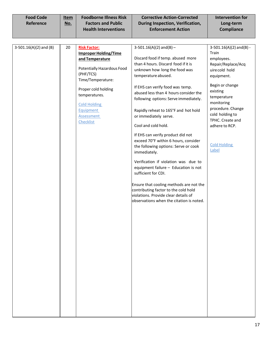| <b>Food Code</b> | Item | <b>Foodborne Illness Risk</b> | <b>Corrective Action-Corrected</b> | Intervention for  |
|------------------|------|-------------------------------|------------------------------------|-------------------|
| Reference        | No.  | <b>Factors and Public</b>     | During Inspection, Verification,   | Long-term         |
|                  |      | <b>Health Interventions</b>   | <b>Enforcement Action</b>          | <b>Compliance</b> |

| $3-501.16(A)(2)$ and (B) | 20 | <b>Risk Factor:</b>          | $3-501.16(A)(2)$ and(B) -                | $3-501.16(A)(2)$ and(B) - |
|--------------------------|----|------------------------------|------------------------------------------|---------------------------|
|                          |    | <b>Improper Holding/Time</b> |                                          | Train                     |
|                          |    | and Temperature              | Discard food if temp. abused more        | employees.                |
|                          |    |                              | than 4 hours. Discard food if it is      | Repair/Replace/Acq        |
|                          |    | Potentially Hazardous Food   | unknown how long the food was            | uire cold hold            |
|                          |    | (PHF/TCS)                    | temperature abused.                      | equipment.                |
|                          |    | Time/Temperature:            |                                          |                           |
|                          |    | Proper cold holding          | If EHS can verify food was temp.         | Begin or change           |
|                          |    | temperatures.                | abused less than 4 hours consider the    | existing                  |
|                          |    |                              | following options: Serve immediately.    | temperature               |
|                          |    | <b>Cold Holding</b>          |                                          | monitoring                |
|                          |    | Equipment                    | Rapidly reheat to 165°F and hot hold     | procedure. Change         |
|                          |    | Assessment                   | or immediately serve.                    | cold holding to           |
|                          |    | Checklist                    |                                          | TPHC. Create and          |
|                          |    |                              | Cool and cold hold.                      | adhere to RCP.            |
|                          |    |                              | If EHS can verify product did not        |                           |
|                          |    |                              | exceed 70°F within 6 hours, consider     |                           |
|                          |    |                              | the following options: Serve or cook     | <b>Cold Holding</b>       |
|                          |    |                              | immediately.                             | Label                     |
|                          |    |                              |                                          |                           |
|                          |    |                              | Verification if violation was due to     |                           |
|                          |    |                              | equipment failure - Education is not     |                           |
|                          |    |                              | sufficient for CDI.                      |                           |
|                          |    |                              | Ensure that cooling methods are not the  |                           |
|                          |    |                              | contributing factor to the cold hold     |                           |
|                          |    |                              | violations. Provide clear details of     |                           |
|                          |    |                              | observations when the citation is noted. |                           |
|                          |    |                              |                                          |                           |
|                          |    |                              |                                          |                           |
|                          |    |                              |                                          |                           |
|                          |    |                              |                                          |                           |
|                          |    |                              |                                          |                           |
|                          |    |                              |                                          |                           |
|                          |    |                              |                                          |                           |
|                          |    |                              |                                          |                           |
|                          |    |                              |                                          |                           |
|                          |    |                              |                                          |                           |
|                          |    |                              |                                          |                           |
|                          |    |                              |                                          |                           |
|                          |    |                              |                                          |                           |
|                          |    |                              |                                          |                           |
|                          |    |                              |                                          |                           |
|                          |    |                              |                                          |                           |
|                          |    |                              |                                          |                           |
|                          |    |                              |                                          |                           |
|                          |    |                              |                                          |                           |
|                          |    |                              |                                          |                           |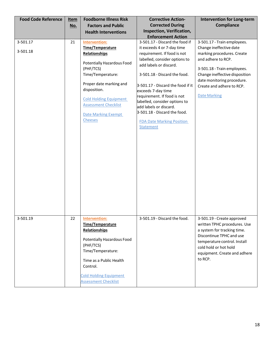| <b>Food Code Reference</b> | <u>Item</u> | <b>Foodborne Illness Risk</b> | <b>Corrective Action-</b>         | <b>Intervention for Long-term</b> |
|----------------------------|-------------|-------------------------------|-----------------------------------|-----------------------------------|
|                            | <u>No.</u>  | <b>Factors and Public</b>     | <b>Corrected During</b>           | Compliance                        |
|                            |             | <b>Health Interventions</b>   | Inspection, Verification,         |                                   |
|                            |             |                               | <b>Enforcement Action</b>         |                                   |
| 3-501.17                   | 21          | <b>Intervention:</b>          | 3-501.17 - Discard the food if    | 3-501.17 - Train employees.       |
| 3-501.18                   |             | Time/Temperature              | it exceeds 4 or 7-day time        | Change ineffective date           |
|                            |             | Relationships                 | requirement. If food is not       | marking procedures. Create        |
|                            |             | Potentially Hazardous Food    | labelled, consider options to     | and adhere to RCP.                |
|                            |             | (PHF/TCS)                     | add labels or discard.            | 3-501.18 - Train employees.       |
|                            |             | Time/Temperature:             | 3-501.18 - Discard the food.      | Change ineffective disposition    |
|                            |             |                               |                                   | date monitoring procedure.        |
|                            |             | Proper date marking and       | 3-501.17 - Discard the food if it | Create and adhere to RCP.         |
|                            |             | disposition.                  | exceeds 7-day time                |                                   |
|                            |             | <b>Cold Holding Equipment</b> | requirement. If food is not       | <b>Date Marking</b>               |
|                            |             | <b>Assessment Checklist</b>   | labelled, consider options to     |                                   |
|                            |             |                               | add labels or discard.            |                                   |
|                            |             | <b>Date Marking Exempt</b>    | 3-501.18 - Discard the food.      |                                   |
|                            |             | <b>Cheeses</b>                | <b>FDA Date Marking Position</b>  |                                   |
|                            |             |                               | Statement                         |                                   |
|                            |             |                               |                                   |                                   |
|                            |             |                               |                                   |                                   |
|                            |             |                               |                                   |                                   |
|                            |             |                               |                                   |                                   |
|                            |             |                               |                                   |                                   |
|                            |             |                               |                                   |                                   |
|                            |             |                               |                                   |                                   |
|                            |             |                               |                                   |                                   |
|                            |             |                               |                                   |                                   |
|                            |             |                               |                                   |                                   |
|                            |             |                               |                                   |                                   |
|                            |             |                               |                                   |                                   |
|                            |             |                               |                                   |                                   |
|                            |             |                               |                                   |                                   |
|                            |             |                               |                                   |                                   |
| 3-501.19                   | 22          | <b>Intervention:</b>          | 3-501.19 - Discard the food.      | 3-501.19 - Create approved        |
|                            |             | Time/Temperature              |                                   | written TPHC procedures. Use      |
|                            |             | Relationships                 |                                   | a system for tracking time.       |
|                            |             | Potentially Hazardous Food    |                                   | Discontinue TPHC and use          |
|                            |             | (PHF/TCS)                     |                                   | temperature control. Install      |
|                            |             | Time/Temperature:             |                                   | cold hold or hot hold             |
|                            |             |                               |                                   | equipment. Create and adhere      |
|                            |             | Time as a Public Health       |                                   | to RCP.                           |
|                            |             | Control.                      |                                   |                                   |
|                            |             |                               |                                   |                                   |
|                            |             | <b>Cold Holding Equipment</b> |                                   |                                   |
|                            |             | Assessment Checklist          |                                   |                                   |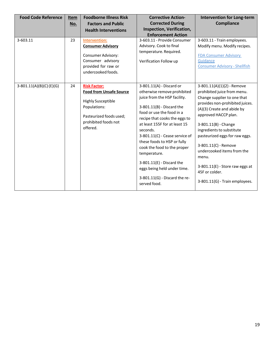| <b>Food Code Reference</b> | Item<br>No. | <b>Foodborne Illness Risk</b><br><b>Factors and Public</b>                                                                                                        | <b>Corrective Action-</b><br><b>Corrected During</b>                                                                                                                                                                                                                                                                                                                                                                                                             | <b>Intervention for Long-term</b><br><b>Compliance</b>                                                                                                                                                                                                                                                                                                                                                                             |
|----------------------------|-------------|-------------------------------------------------------------------------------------------------------------------------------------------------------------------|------------------------------------------------------------------------------------------------------------------------------------------------------------------------------------------------------------------------------------------------------------------------------------------------------------------------------------------------------------------------------------------------------------------------------------------------------------------|------------------------------------------------------------------------------------------------------------------------------------------------------------------------------------------------------------------------------------------------------------------------------------------------------------------------------------------------------------------------------------------------------------------------------------|
|                            |             | <b>Health Interventions</b>                                                                                                                                       | Inspection, Verification,<br><b>Enforcement Action</b>                                                                                                                                                                                                                                                                                                                                                                                                           |                                                                                                                                                                                                                                                                                                                                                                                                                                    |
| 3-603.11                   | 23          | Intervention:<br><b>Consumer Advisory</b><br>Consumer Advisory:<br>Consumer advisory<br>provided for raw or<br>undercooked foods.                                 | 3-603.11 - Provide Consumer<br>Advisory. Cook to final<br>temperature. Required.<br>Verification Follow up                                                                                                                                                                                                                                                                                                                                                       | 3-603.11 - Train employees.<br>Modify menu. Modify recipes.<br><b>FDA Consumer Advisory</b><br>Guidance<br><b>Consumer Advisory - Shellfish</b>                                                                                                                                                                                                                                                                                    |
| 3-801.11(A)(B)(C)(E)(G)    | 24          | <b>Risk Factor:</b><br><b>Food from Unsafe Source</b><br><b>Highly Susceptible</b><br>Populations:<br>Pasteurized foods used;<br>prohibited foods not<br>offered. | 3-801.11(A) - Discard or<br>otherwise remove prohibited<br>juice from the HSP facility.<br>$3-801.11(B)$ - Discard the<br>food or use the food in a<br>recipe that cooks the eggs to<br>at least 155F for at least 15<br>seconds.<br>3-801.11(C) - Cease service of<br>these foods to HSP or fully<br>cook the food to the proper<br>temperature.<br>$3-801.11(E)$ - Discard the<br>eggs being held under time.<br>3-801.11(G) - Discard the re-<br>served food. | $3-801.11(A)(1)(2)$ - Remove<br>prohibited juice from menu.<br>Change supplier to one that<br>provides non-prohibited juices.<br>(A)(3) Create and abide by<br>approved HACCP plan.<br>3-801.11(B) - Change<br>ingredients to substitute<br>pasteurized eggs for raw eggs.<br>3-801.11(C) - Remove<br>undercooked items from the<br>menu.<br>$3-801.11(E)$ - Store raw eggs at<br>45F or colder.<br>3-801.11(G) - Train employees. |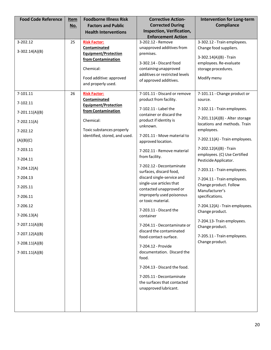| <b>Food Code Reference</b> | <u>Item</u> | <b>Foodborne Illness Risk</b>                     | <b>Corrective Action-</b>                                | <b>Intervention for Long-term</b>                              |
|----------------------------|-------------|---------------------------------------------------|----------------------------------------------------------|----------------------------------------------------------------|
|                            | No.         | <b>Factors and Public</b>                         | <b>Corrected During</b>                                  | Compliance                                                     |
|                            |             | <b>Health Interventions</b>                       | Inspection, Verification,<br><b>Enforcement Action</b>   |                                                                |
| 3-202.12                   | 25          | <b>Risk Factor:</b>                               | 3-202.12 - Remove                                        | 3-302.12 - Train employees.                                    |
| $3-302.14(A)(B)$           |             | Contaminated                                      | unapproved additives from                                | Change food suppliers.                                         |
|                            |             | <b>Equipment/Protection</b><br>from Contamination | premises.                                                | 3-302.14(A)(B) - Train                                         |
|                            |             |                                                   | 3-302.14 - Discard food                                  | employees. Re-evaluate                                         |
|                            |             | Chemical:                                         | containing unapproved                                    | storage procedures.                                            |
|                            |             | Food additive: approved                           | additives or restricted levels<br>of approved additives. | Modify menu                                                    |
|                            |             | and properly used.                                |                                                          |                                                                |
| 7-101.11                   | 26          | <b>Risk Factor:</b>                               | 7-101.11 - Discard or remove                             | 7-101.11 - Change product or                                   |
| 7-102.11                   |             | Contaminated                                      | product from facility.                                   | source.                                                        |
|                            |             | <b>Equipment/Protection</b>                       | 7-102.11 - Label the                                     | 7-102.11 - Train employees.                                    |
| $7-201.11(A)(B)$           |             | from Contamination                                | container or discard the                                 |                                                                |
| $7-202.11(A)$              |             | Chemical:                                         | product if identity is                                   | 7-201.11(A)(B) - Alter storage<br>locations and methods. Train |
| 7-202.12                   |             | Toxic substances properly                         | unknown.                                                 | employees.                                                     |
|                            |             | identified, stored, and used.                     | 7-201.11 - Move material to                              |                                                                |
| (A)(B)(C)                  |             |                                                   | approved location.                                       | 7-202.11(A) - Train employees.                                 |
| 7-203.11                   |             |                                                   | 7-202.11 - Remove material                               | 7-202.12(A)(B) - Train                                         |
| 7-204.11                   |             |                                                   | from facility.                                           | employees. (C) Use Certified<br>Pesticide Applicator.          |
|                            |             |                                                   | 7-202.12 - Decontaminate                                 |                                                                |
| 7-204.12(A)                |             |                                                   | surfaces, discard food,                                  | 7-203.11 - Train employees.                                    |
| 7-204.13                   |             |                                                   | discard single-service and                               | 7-204.11 - Train employees.                                    |
| 7-205.11                   |             |                                                   | single-use articles that<br>contacted unapproved or      | Change product. Follow                                         |
| 7-206.11                   |             |                                                   | improperly used poisonous                                | Manufacturer's<br>specifications.                              |
|                            |             |                                                   | or toxic material.                                       |                                                                |
| 7-206.12                   |             |                                                   | 7-203.11 - Discard the                                   | 7-204.12(A) - Train employees.                                 |
| $7-206.13(A)$              |             |                                                   | container                                                | Change product.                                                |
| $7-207.11(A)(B)$           |             |                                                   | 7-204.11 - Decontaminate or                              | 7-204.13- Train employees.                                     |
|                            |             |                                                   | discard the contaminated                                 | Change product.                                                |
| 7-207.12(A)(B)             |             |                                                   | food-contact-surface.                                    | 7-205.11 - Train employees.                                    |
| $7-208.11(A)(B)$           |             |                                                   | 7-204.12 - Provide                                       | Change product.                                                |
| $7-301.11(A)(B)$           |             |                                                   | documentation. Discard the                               |                                                                |
|                            |             |                                                   | food.                                                    |                                                                |
|                            |             |                                                   | 7-204.13 - Discard the food.                             |                                                                |
|                            |             |                                                   | 7-205.11 - Decontaminate                                 |                                                                |
|                            |             |                                                   | the surfaces that contacted                              |                                                                |
|                            |             |                                                   | unapproved lubricant.                                    |                                                                |
|                            |             |                                                   |                                                          |                                                                |
|                            |             |                                                   |                                                          |                                                                |
|                            |             |                                                   |                                                          |                                                                |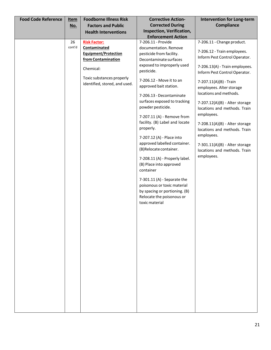| <b>Food Code Reference</b> | <u>Item</u> | <b>Foodborne Illness Risk</b> | <b>Corrective Action-</b>                                    | <b>Intervention for Long-term</b>                               |
|----------------------------|-------------|-------------------------------|--------------------------------------------------------------|-----------------------------------------------------------------|
|                            | No.         | <b>Factors and Public</b>     | <b>Corrected During</b>                                      | Compliance                                                      |
|                            |             | <b>Health Interventions</b>   | Inspection, Verification,                                    |                                                                 |
|                            | 26          | <b>Risk Factor:</b>           | <b>Enforcement Action</b><br>7-206.11 - Provide              | 7-206.11 - Change product.                                      |
|                            | cont'd      | Contaminated                  | documentation. Remove                                        |                                                                 |
|                            |             | <b>Equipment/Protection</b>   | pesticide from facility.                                     | 7-206.12 - Train employees.                                     |
|                            |             | from Contamination            | Decontaminate surfaces                                       | Inform Pest Control Operator.                                   |
|                            |             | Chemical:                     | exposed to improperly used<br>pesticide.                     | 7-206.13(A) - Train employees.<br>Inform Pest Control Operator. |
|                            |             | Toxic substances properly     | 7-206.12 - Move it to an                                     | 7-207.11(A)(B) - Train                                          |
|                            |             | identified, stored, and used. | approved bait station.                                       | employees. Alter storage                                        |
|                            |             |                               | 7-206.13 - Decontaminate                                     | locations and methods.                                          |
|                            |             |                               | surfaces exposed to tracking                                 | 7-207.12(A)(B) - Alter storage                                  |
|                            |             |                               | powder pesticide.                                            | locations and methods. Train                                    |
|                            |             |                               | 7-207.11 (A) - Remove from                                   | employees.                                                      |
|                            |             |                               | facility. (B) Label and locate                               | $7-208.11(A)(B)$ - Alter storage                                |
|                            |             |                               | properly.                                                    | locations and methods. Train                                    |
|                            |             |                               | 7-207.12 (A) - Place into                                    | employees.                                                      |
|                            |             |                               | approved labelled container.                                 | 7-301.11(A)(B) - Alter storage                                  |
|                            |             |                               | (B)Relocate container.                                       | locations and methods. Train                                    |
|                            |             |                               | 7-208.11 (A) - Properly label.                               | employees.                                                      |
|                            |             |                               | (B) Place into approved                                      |                                                                 |
|                            |             |                               | container                                                    |                                                                 |
|                            |             |                               |                                                              |                                                                 |
|                            |             |                               | $7-301.11$ (A) - Separate the<br>poisonous or toxic material |                                                                 |
|                            |             |                               | by spacing or portioning. (B)                                |                                                                 |
|                            |             |                               | Relocate the poisonous or                                    |                                                                 |
|                            |             |                               | toxic material                                               |                                                                 |
|                            |             |                               |                                                              |                                                                 |
|                            |             |                               |                                                              |                                                                 |
|                            |             |                               |                                                              |                                                                 |
|                            |             |                               |                                                              |                                                                 |
|                            |             |                               |                                                              |                                                                 |
|                            |             |                               |                                                              |                                                                 |
|                            |             |                               |                                                              |                                                                 |
|                            |             |                               |                                                              |                                                                 |
|                            |             |                               |                                                              |                                                                 |
|                            |             |                               |                                                              |                                                                 |
|                            |             |                               |                                                              |                                                                 |
|                            |             |                               |                                                              |                                                                 |
|                            |             |                               |                                                              |                                                                 |
|                            |             |                               |                                                              |                                                                 |
|                            |             |                               |                                                              |                                                                 |
|                            |             |                               |                                                              |                                                                 |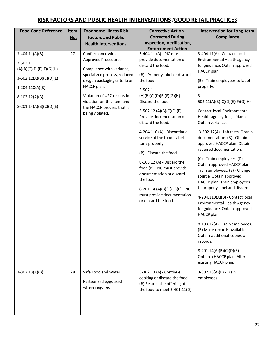### **RISK FACTORS AND PUBLIC HEALTH INTERVENTIONS** /**GOOD RETAIL PRACTICES**

| <b>Food Code Reference</b> | <u>Item</u> | <b>Foodborne Illness Risk</b> | <b>Corrective Action-</b>                               | <b>Intervention for Long-term</b>                      |
|----------------------------|-------------|-------------------------------|---------------------------------------------------------|--------------------------------------------------------|
|                            | <u>No.</u>  | <b>Factors and Public</b>     | <b>Corrected During</b>                                 | <b>Compliance</b>                                      |
|                            |             | <b>Health Interventions</b>   | Inspection, Verification,                               |                                                        |
|                            |             |                               | <b>Enforcement Action</b>                               |                                                        |
| $3-404.11(A)(B)$           | 27          | Conformance with              | 3-404.11 (A) - PIC must                                 | 3-404.11(A) - Contact local                            |
| 3-502.11                   |             | <b>Approved Procedures:</b>   | provide documentation or<br>discard the food.           | Environmental Health agency                            |
| (A)(B)(C)(D)(E)(F)(G)(H)   |             | Compliance with variance,     |                                                         | for guidance. Obtain approved<br>HACCP plan.           |
|                            |             | specialized process, reduced  | (B) - Properly label or discard                         |                                                        |
| $3-502.12(A)(B)(C)(D)(E)$  |             | oxygen packaging criteria or  | the food.                                               | (B) - Train employees to label                         |
| 4-204.110(A)(B)            |             | HACCP plan.                   | $3 - 502.11 -$                                          | properly.                                              |
| $8-103.12(A)(B)$           |             | Violation of #27 results in   | $(A)(B)(C)(D)(E)(F)(G)(H) -$                            | 3-                                                     |
|                            |             | violation on this item and    | Discard the food                                        | 502.11(A)(B)(C)(D)(E)(F)(G)(H)                         |
| 8-201.14(A)(B)(C)(D)(E)    |             | the HACCP process that is     |                                                         |                                                        |
|                            |             | being violated.               | $3-502.12(A)(B)(C)(D)(E) -$<br>Provide documentation or | Contact local Environmental                            |
|                            |             |                               | discard the food.                                       | Health agency for guidance.<br>Obtain variance.        |
|                            |             |                               |                                                         |                                                        |
|                            |             |                               | 4-204.110 (A) - Discontinue                             | 3-502.12(A) - Lab tests. Obtain                        |
|                            |             |                               | service of the food. Label                              | documentation. (B) - Obtain                            |
|                            |             |                               | tank properly.                                          | approved HACCP plan. Obtain                            |
|                            |             |                               | (B) - Discard the food                                  | required documentation.                                |
|                            |             |                               |                                                         | (C) - Train employees. (D) -                           |
|                            |             |                               | 8-103.12 (A) - Discard the                              | Obtain approved HACCP plan.                            |
|                            |             |                               | food (B) - PIC must provide                             | Train employees. (E) - Change                          |
|                            |             |                               | documentation or discard<br>the food                    | source. Obtain approved                                |
|                            |             |                               |                                                         | HACCP plan. Train employees                            |
|                            |             |                               | 8-201.14 (A)(B)(C)(D)(E) - PIC                          | to properly label and discard.                         |
|                            |             |                               | must provide documentation                              | 4-204.110(A)(B) - Contact local                        |
|                            |             |                               | or discard the food.                                    | <b>Environmental Health Agency</b>                     |
|                            |             |                               |                                                         | for guidance. Obtain approved                          |
|                            |             |                               |                                                         | HACCP plan.                                            |
|                            |             |                               |                                                         | 8-103.12(A) - Train employees.                         |
|                            |             |                               |                                                         | (B) Make records available.                            |
|                            |             |                               |                                                         | Obtain additional copies of                            |
|                            |             |                               |                                                         | records.                                               |
|                            |             |                               |                                                         |                                                        |
|                            |             |                               |                                                         | 8-201.14(A)(B)(C)(D)(E)-<br>Obtain a HACCP plan. Alter |
|                            |             |                               |                                                         | existing HACCP plan.                                   |
|                            |             |                               |                                                         |                                                        |
| $3-302.13(A)(B)$           | 28          | Safe Food and Water:          | 3-302.13 (A) - Continue                                 | 3-302.13(A)(B) - Train                                 |
|                            |             | Pasteurized eggs used         | cooking or discard the food.                            | employees.                                             |
|                            |             | where required.               | (B) Restrict the offering of                            |                                                        |
|                            |             |                               | the food to meet 3-401.11(D)                            |                                                        |
|                            |             |                               |                                                         |                                                        |
|                            |             |                               |                                                         |                                                        |
|                            |             |                               |                                                         |                                                        |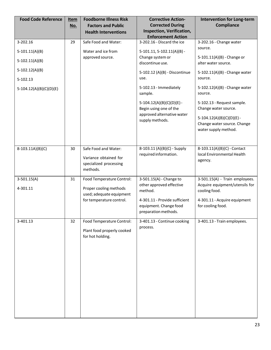| <b>Food Code Reference</b>           | <b>Item</b><br>No. | <b>Foodborne Illness Risk</b><br><b>Factors and Public</b><br><b>Health Interventions</b>                   | <b>Corrective Action-</b><br><b>Corrected During</b><br>Inspection, Verification,<br><b>Enforcement Action</b>                                    | <b>Intervention for Long-term</b><br>Compliance                                                                                          |
|--------------------------------------|--------------------|-------------------------------------------------------------------------------------------------------------|---------------------------------------------------------------------------------------------------------------------------------------------------|------------------------------------------------------------------------------------------------------------------------------------------|
| 3-202.16                             | 29                 | Safe Food and Water:                                                                                        | 3-202.16 - Discard the ice                                                                                                                        | 3-202.16 - Change water<br>source.                                                                                                       |
| $5-101.11(A)(B)$<br>$5-102.11(A)(B)$ |                    | Water and ice from<br>approved source.                                                                      | $5-101.11, 5-102.11(A)(B) -$<br>Change system or<br>discontinue use.                                                                              | 5-101.11(A)(B) - Change or<br>alter water source.                                                                                        |
| $5-102.12(A)(B)$<br>5-102.13         |                    |                                                                                                             | 5-102.12 (A)(B) - Discontinue<br>use.                                                                                                             | 5-102.11(A)(B) - Change water<br>source.                                                                                                 |
| $5-104.12(A)(B)(C)(D)(E)$            |                    |                                                                                                             | 5-102.13 - Immediately<br>sample.                                                                                                                 | 5-102.12(A)(B) - Change water<br>source.                                                                                                 |
|                                      |                    |                                                                                                             | $5-104.12(A)(B)(C)(D)(E) -$<br>Begin using one of the<br>approved alternative water<br>supply methods.                                            | 5-102.13 - Request sample.<br>Change water source.<br>$5-104.12(A)(B)(C)(D)(E) -$<br>Change water source. Change<br>water supply method. |
| $8-103.11A)(B)(C)$                   | 30                 | Safe Food and Water:<br>Variance obtained for<br>specialized processing<br>methods.                         | 8-103.11 (A)(B)(C) - Supply<br>required information.                                                                                              | 8-103.11(A)(B)(C) - Contact<br>local Environmental Health<br>agency.                                                                     |
| $3-501.15(A)$<br>4-301.11            | 31                 | Food Temperature Control:<br>Proper cooling methods<br>used; adequate equipment<br>for temperature control. | 3-501.15(A) - Change to<br>other approved effective<br>method.<br>4-301.11 - Provide sufficient<br>equipment. Change food<br>preparation methods. | 3-501.15(A) - Train employees.<br>Acquire equipment/utensils for<br>cooling food.<br>4-301.11 - Acquire equipment<br>for cooling food.   |
| 3-401.13                             | 32                 | Food Temperature Control:<br>Plant food properly cooked<br>for hot holding.                                 | 3-401.13 - Continue cooking<br>process.                                                                                                           | 3-401.13 - Train employees.                                                                                                              |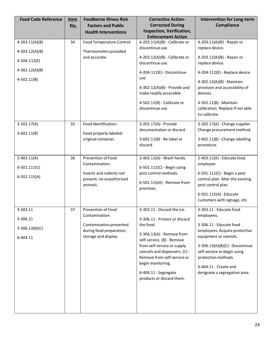| <b>Food Code Reference</b>                            | <u>Item</u><br>No. | <b>Foodborne Illness Risk</b><br><b>Factors and Public</b><br><b>Health Interventions</b>                           | <b>Corrective Action-</b><br><b>Corrected During</b><br>Inspection, Verification,<br><b>Enforcement Action</b>                                                                                                                                                                                                 | <b>Intervention for Long-term</b><br><b>Compliance</b>                                                                                                                                                                                                                         |
|-------------------------------------------------------|--------------------|---------------------------------------------------------------------------------------------------------------------|----------------------------------------------------------------------------------------------------------------------------------------------------------------------------------------------------------------------------------------------------------------------------------------------------------------|--------------------------------------------------------------------------------------------------------------------------------------------------------------------------------------------------------------------------------------------------------------------------------|
| $4-203.11(A)(B)$<br>$4-203.12(A)(B)$                  | 34                 | Food Temperature Control:<br>Thermometers provided                                                                  | 4-203.11(A)(B) - Calibrate or<br>discontinue use.                                                                                                                                                                                                                                                              | 4-203.11(A)(B) - Repair or<br>replace device.                                                                                                                                                                                                                                  |
| 4-204-112(E)                                          |                    | and accurate.                                                                                                       | 4-203.12(A)(B) - Calibrate or<br>discontinue use.                                                                                                                                                                                                                                                              | 4-203.12(A)(B) - Repair or<br>replace device.                                                                                                                                                                                                                                  |
| $4-302.12(A)(B)$                                      |                    |                                                                                                                     | 4-204-112(E) - Discontinue                                                                                                                                                                                                                                                                                     | 4-204-112(E) - Replace device.                                                                                                                                                                                                                                                 |
| $4-502.11(B)$                                         |                    |                                                                                                                     | use.<br>4-302.12(A)(B) - Provide and<br>make readily accessible.<br>4-502.11(B) - Calibrate or<br>discontinue use.                                                                                                                                                                                             | 4-302.12(A)(B) - Maintain<br>provision and accessibility of<br>devices.<br>4-502.11(B) - Maintain<br>calibration. Replace if not able<br>to calibrate.                                                                                                                         |
| $3-202.17(A)$<br>$3-602.11(B)$                        | 35                 | Food Identification:<br>Food properly labeled:<br>original container.                                               | 3-202.17(A) - Provide<br>documentation or discard.<br>3-602.11(B) - Re-label or<br>discard.                                                                                                                                                                                                                    | 3-202.17(A) - Change supplier.<br>Change procurement method.<br>3-602.11(B) - Change labelling<br>procedure.                                                                                                                                                                   |
| $2 - 403.11(A)$<br>$6 - 501.111(C)$<br>$6-501.115(A)$ | 36                 | Prevention of Food<br>Contamination:<br>Insects and rodents not<br>present; no unauthorized<br>animals.             | 2-403.11(A) - Wash hands.<br>6-501.111(C) - Begin using<br>pest control methods.<br>6-501.115(A) - Remove from<br>premises.                                                                                                                                                                                    | 2-403.11(A) - Educate food<br>employee.<br>6-501.111(C) - Begin a pest<br>control plan. Alter the existing<br>pest control plan.<br>6-501.115(A) - Educate<br>customers with signage, etc.                                                                                     |
| 3-303.11<br>3-306.11<br>$3-306.13(B)(C)$<br>6-404.11  | 37                 | Prevention of Food<br>Contamination:<br>Contamination prevented<br>during food preparation,<br>storage and display. | 3-303.11 - Discard the ice.<br>3-306.11 - Protect or discard<br>the food.<br>3-306.13(A) - Remove from<br>self-service. (B) - Remove<br>from self-service or supply<br>utensils and dispensers. (C) -<br>Remove from self-service or<br>begin monitoring.<br>6-404.11 - Segregate<br>products or discard them. | 3-303.11 - Educate food<br>employees.<br>3-306.11 - Educate food<br>employees. Acquire protective<br>equipment or utensils.<br>3-306.13(A)(B)(C) - Discontinue<br>self-service or begin using<br>protection methods.<br>6-404.11 - Create and<br>designate a segregation area. |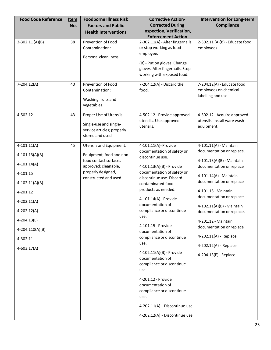| <b>Food Code Reference</b> | Item<br><u>No.</u> | <b>Foodborne Illness Risk</b><br><b>Factors and Public</b>                                         | <b>Corrective Action-</b><br><b>Corrected During</b>                                                                                                                    | <b>Intervention for Long-term</b><br><b>Compliance</b>                    |
|----------------------------|--------------------|----------------------------------------------------------------------------------------------------|-------------------------------------------------------------------------------------------------------------------------------------------------------------------------|---------------------------------------------------------------------------|
|                            |                    | <b>Health Interventions</b>                                                                        | Inspection, Verification,<br><b>Enforcement Action</b>                                                                                                                  |                                                                           |
| $2-302.11(A)(B)$           | 38                 | Prevention of Food<br>Contamination:<br>Personal cleanliness.                                      | 2-302.11(A) - Alter fingernails<br>or stop working as food<br>employee.<br>(B) - Put on gloves. Change<br>gloves. Alter fingernails. Stop<br>working with exposed food. | 2-302.11 (A)(B) - Educate food<br>employees.                              |
| $7-204.12(A)$              | 40                 | Prevention of Food<br>Contamination:<br>Washing fruits and<br>vegetables.                          | 7-204.12(A) - Discard the<br>food.                                                                                                                                      | 7-204.12(A) - Educate food<br>employees on chemical<br>labelling and use. |
| 4-502.12                   | 43                 | Proper Use of Utensils:<br>Single-use and single-<br>service articles; properly<br>stored and used | 4-502.12 - Provide approved<br>utensils. Use approved<br>utensils.                                                                                                      | 4-502.12 - Acquire approved<br>utensils. Install ware wash<br>equipment.  |
| $4-101.11(A)$              | 45                 | <b>Utensils and Equipment:</b>                                                                     | 4-101.11(A)- Provide                                                                                                                                                    | 4-101.11(A) - Maintain                                                    |
| $4-101.13(A)(B)$           |                    | Equipment, food and non-                                                                           | documentation of safety or<br>discontinue use.                                                                                                                          | documentation or replace.                                                 |
| $4 - 101.14(A)$            |                    | food contact surfaces<br>approved; cleanable,                                                      | 4-101.13(A)(B) - Provide                                                                                                                                                | 4-101.13(A)(B) - Maintain<br>documentation or replace                     |
| 4-101.15                   |                    | properly designed,<br>constructed and used.                                                        | documentation of safety or<br>discontinue use. Discard                                                                                                                  | 4-101.14(A) - Maintain                                                    |
| $4 - 102.11(A)(B)$         |                    |                                                                                                    | contaminated food                                                                                                                                                       | documentation or replace                                                  |
| 4-201.12                   |                    |                                                                                                    | products as needed.                                                                                                                                                     | 4-101.15 - Maintain<br>documentation or replace                           |
| $4 - 202.11(A)$            |                    |                                                                                                    | 4-101.14(A) - Provide                                                                                                                                                   |                                                                           |
| 4-202.12(A)                |                    |                                                                                                    | documentation of<br>compliance or discontinue                                                                                                                           | 4-102.11(A)(B) - Maintain<br>documentation or replace.                    |
| 4-204.13(E)                |                    |                                                                                                    | use.                                                                                                                                                                    | 4-201.12 - Maintain                                                       |
| 4-204.110(A)(B)            |                    |                                                                                                    | 4-101.15 - Provide<br>documentation of                                                                                                                                  | documentation or replace                                                  |
| 4-302.11                   |                    |                                                                                                    | compliance or discontinue                                                                                                                                               | 4-202.11(A) - Replace                                                     |
|                            |                    |                                                                                                    | use.                                                                                                                                                                    | 4-202.12(A) - Replace                                                     |
| $4-603.17(A)$              |                    |                                                                                                    | 4-102.11(A)(B) - Provide<br>documentation of<br>compliance or discontinue<br>use.                                                                                       | 4-204.13(E) - Replace                                                     |
|                            |                    |                                                                                                    | 4-201.12 - Provide<br>documentation of<br>compliance or discontinue<br>use.                                                                                             |                                                                           |
|                            |                    |                                                                                                    | 4-202.11(A) - Discontinue use                                                                                                                                           |                                                                           |
|                            |                    |                                                                                                    | 4-202.12(A) - Discontinue use                                                                                                                                           |                                                                           |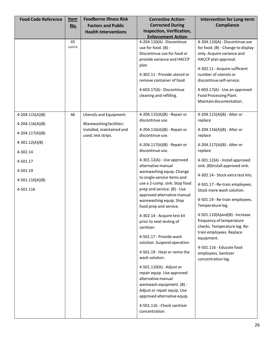| <b>Food Code Reference</b>                                       | <u>Item</u><br><u>No.</u> | <b>Foodborne Illness Risk</b><br><b>Factors and Public</b><br><b>Health Interventions</b> | <b>Corrective Action-</b><br><b>Corrected During</b><br><b>Inspection, Verification,</b>                                                                                                                                                                                                                                                                                                                                                                                                                                                                                                                                                                                             | <b>Intervention for Long-term</b><br><b>Compliance</b>                                                                                                                                                                                                                                                                                                                                                                                                  |
|------------------------------------------------------------------|---------------------------|-------------------------------------------------------------------------------------------|--------------------------------------------------------------------------------------------------------------------------------------------------------------------------------------------------------------------------------------------------------------------------------------------------------------------------------------------------------------------------------------------------------------------------------------------------------------------------------------------------------------------------------------------------------------------------------------------------------------------------------------------------------------------------------------|---------------------------------------------------------------------------------------------------------------------------------------------------------------------------------------------------------------------------------------------------------------------------------------------------------------------------------------------------------------------------------------------------------------------------------------------------------|
|                                                                  | 45<br>cont'd              |                                                                                           | <b>Enforcement Action</b><br>4-204.110(A) - Discontinue<br>use for food. (B) -<br>Discontinue use for food or<br>provide variance and HACCP<br>plan<br>4-302.11 - Provide utensil or<br>remove container of food.<br>4-603.17(A) - Discontinue<br>cleaning and refilling.                                                                                                                                                                                                                                                                                                                                                                                                            | 4-204.110(A) - Discontinue use<br>for food. (B) - Change to display<br>only. Acquire variance and<br>HACCP plan approval.<br>4-302.11 - Acquire sufficient<br>number of utensils or<br>discontinue self-service.<br>4-603.17(A) - Use an approved<br>Food Processing Plant.<br>Maintain documentation.                                                                                                                                                  |
| $4-204.115(A)(B)$                                                | 46                        | <b>Utensils and Equipment:</b>                                                            | 4-204.115(A)(B) - Repair or<br>discontinue use.                                                                                                                                                                                                                                                                                                                                                                                                                                                                                                                                                                                                                                      | 4-204.115(A)(B) - Alter or<br>replace                                                                                                                                                                                                                                                                                                                                                                                                                   |
| 4-204.116(A)(B)<br>4-204.117(A)(B)                               |                           | Warewashing facilities:<br>installed, maintained and<br>used; test strips.                | 4-204.116(A)(B) - Repair or<br>discontinue use.                                                                                                                                                                                                                                                                                                                                                                                                                                                                                                                                                                                                                                      | 4-204.116(A)(B) - Alter or<br>replace                                                                                                                                                                                                                                                                                                                                                                                                                   |
| $4-301.12(A)(B)$                                                 |                           |                                                                                           | 4-204.117(A)(B) - Repair or<br>discontinue use.                                                                                                                                                                                                                                                                                                                                                                                                                                                                                                                                                                                                                                      | 4-204.117(A)(B) - Alter or                                                                                                                                                                                                                                                                                                                                                                                                                              |
| 4-302.14<br>4-501.17<br>4-501.19<br>4-501.110(A)(B)<br>4-501.116 |                           |                                                                                           | $4-301.12(A)$ - Use approved<br>alternative manual<br>warewashing equip. Change<br>to single-service items and<br>use a 2-comp. sink. Stop food<br>prep and service. (B) - Use<br>approved alternative manual<br>warewashing equip. Stop<br>food prep and service.<br>4-302.14 - Acquire test kit<br>prior to next testing of<br>sanitizer.<br>4-501.17 - Provide wash<br>solution. Suspend operation.<br>4-501.19 - Heat or remix the<br>wash solution.<br>4-501.110(A) - Adjust or<br>repair equip. Use approved<br>alternative manual<br>warewash equipment. (B) -<br>Adjust or repair equip. Use<br>approved alternative equip.<br>4-501.116 - Check sanitizer<br>concentration. | replace<br>4-301.12(A) - Install approved<br>sink. (B)Install approved sink.<br>4-302.14 - Stock extra test kits.<br>4-501.17 - Re-train employees.<br>Stock more wash solution.<br>4-501.19 - Re-train employees.<br>Temperature log.<br>4-501.110(A)and(B) - Increase<br>frequency of temperature<br>checks. Temperature log. Re-<br>train employees. Replace<br>equipment.<br>4-501.116 - Educate food<br>employees. Sanitizer<br>concentration log. |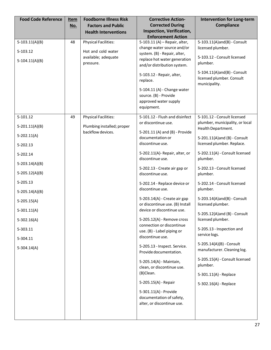| <b>Food Code Reference</b>     | Item<br>No. | <b>Foodborne Illness Risk</b><br><b>Factors and Public</b><br><b>Health Interventions</b> | <b>Corrective Action-</b><br><b>Corrected During</b><br>Inspection, Verification,           | <b>Intervention for Long-term</b><br><b>Compliance</b>     |
|--------------------------------|-------------|-------------------------------------------------------------------------------------------|---------------------------------------------------------------------------------------------|------------------------------------------------------------|
|                                |             |                                                                                           | <b>Enforcement Action</b>                                                                   |                                                            |
| $5-103.11(A)(B)$               | 48          | <b>Physical Facilities:</b>                                                               | 5-103.11 (A) - Repair, alter,                                                               | 5-103.11(A)and(B) - Consult                                |
| 5-103.12                       |             | Hot and cold water                                                                        | change water source and/or<br>system. (B) - Repair, alter,                                  | licensed plumber.                                          |
| $5-104.11(A)(B)$               |             | available; adequate<br>pressure.                                                          | replace hot water generation<br>and/or distribution system.                                 | 5-103.12 - Consult licensed<br>plumber.                    |
|                                |             |                                                                                           | 5-103.12 - Repair, alter,<br>replace.                                                       | 5-104.11(A)and(B) - Consult<br>licensed plumber. Consult   |
|                                |             |                                                                                           | 5-104.11 (A) - Change water<br>source. (B) - Provide<br>approved water supply<br>equipment. | municipality.                                              |
| 5-101.12                       | 49          | <b>Physical Facilities:</b>                                                               | 5-101.12 - Flush and disinfect                                                              | 5-101.12 - Consult licensed                                |
| $5-201.11(A)(B)$               |             | Plumbing installed; proper                                                                | or discontinue use.                                                                         | plumber, municipality, or local<br>Health Department.      |
| $5-202.11(A)$                  |             | backflow devices.                                                                         | 5-201.11 (A) and (B) - Provide<br>documentation or<br>discontinue use.                      | 5-201.11(A)and (B) - Consult<br>licensed plumber. Replace. |
| 5-202.13                       |             |                                                                                           |                                                                                             |                                                            |
| 5-202.14                       |             |                                                                                           | 5-202.11(A)-Repair, alter, or<br>discontinue use.                                           | 5-202.11(A) - Consult licensed<br>plumber.                 |
| $5 - 203.14(A)(B)$             |             |                                                                                           | 5-202.13 - Create air gap or                                                                | 5-202.13 - Consult licensed                                |
| $5-205.12(A)(B)$               |             |                                                                                           | discontinue use.                                                                            | plumber.                                                   |
| 5-205.13                       |             |                                                                                           | 5-202.14 - Replace device or<br>discontinue use.                                            | 5-202.14 - Consult licensed<br>plumber.                    |
| $5 - 205.14(A)(B)$             |             |                                                                                           | 5-203.14(A) - Create air gap                                                                | 5-203.14(A)and(B) - Consult                                |
| $5-205.15(A)$                  |             |                                                                                           | or discontinue use. (B) Install<br>device or discontinue use.                               | licensed plumber.                                          |
| $5-301.11(A)$<br>$5-302.16(A)$ |             |                                                                                           | 5-205.12(A) - Remove cross                                                                  | 5-205.12(A)and (B) - Consult<br>licensed plumber.          |
| 5-303.11                       |             |                                                                                           | connection or discontinue<br>use. (B) - Label piping or                                     | 5-205.13 - Inspection and                                  |
| 5-304.11                       |             |                                                                                           | discontinue use.                                                                            | service logs.                                              |
| 5-304.14(A)                    |             |                                                                                           | 5-205.13 - Inspect. Service.<br>Provide documentation.                                      | 5-205.14(A)(B) - Consult<br>manufacturer. Cleaning log.    |
|                                |             |                                                                                           | 5-205.14(A) - Maintain,<br>clean, or discontinue use.                                       | 5-205.15(A) - Consult licensed<br>plumber.                 |
|                                |             |                                                                                           | (B)Clean.                                                                                   | 5-301.11(A) - Replace                                      |
|                                |             |                                                                                           | 5-205.15(A) - Repair                                                                        | 5-302.16(A) - Replace                                      |
|                                |             |                                                                                           | 5-301.11(A) - Provide<br>documentation of safety,<br>alter, or discontinue use.             |                                                            |
|                                |             |                                                                                           |                                                                                             |                                                            |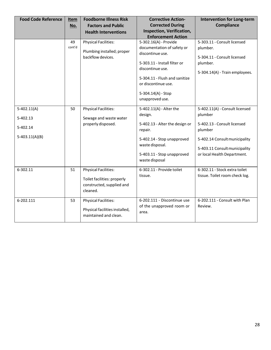| <b>Food Code Reference</b> | Item   | <b>Foodborne Illness Risk</b>  | <b>Corrective Action-</b>      | <b>Intervention for Long-term</b> |
|----------------------------|--------|--------------------------------|--------------------------------|-----------------------------------|
|                            | No.    | <b>Factors and Public</b>      | <b>Corrected During</b>        | <b>Compliance</b>                 |
|                            |        | <b>Health Interventions</b>    | Inspection, Verification,      |                                   |
|                            |        |                                | <b>Enforcement Action</b>      |                                   |
|                            | 49     | <b>Physical Facilities:</b>    | 5-302.16(A) - Provide          | 5-303.11 - Consult licensed       |
|                            | cont'd | Plumbing installed; proper     | documentation of safety or     | plumber.                          |
|                            |        | backflow devices.              | discontinue use.               | 5-304.11 - Consult licensed       |
|                            |        |                                | 5-303.11 - Install filter or   | plumber.                          |
|                            |        |                                | discontinue use.               | 5-304.14(A) - Train employees.    |
|                            |        |                                | 5-304.11 - Flush and sanitize  |                                   |
|                            |        |                                | or discontinue use.            |                                   |
|                            |        |                                | 5-304.14(A) - Stop             |                                   |
|                            |        |                                | unapproved use.                |                                   |
|                            |        |                                |                                |                                   |
| $5-402.11(A)$              | 50     | <b>Physical Facilities:</b>    | 5-402.11(A) - Alter the        | 5-402.11(A) - Consult licensed    |
| 5-402.13                   |        | Sewage and waste water         | design.                        | plumber                           |
|                            |        | properly disposed.             | 5-402.13 - Alter the design or | 5-402.13 - Consult licensed       |
| 5-402.14                   |        |                                | repair.                        | plumber                           |
| $5-403.11(A)(B)$           |        |                                | 5-402.14 - Stop unapproved     | 5-402.14 Consult municipality     |
|                            |        |                                | waste disposal.                |                                   |
|                            |        |                                |                                | 5-403.11 Consult municipality     |
|                            |        |                                | 5-403.11 - Stop unapproved     | or local Health Department.       |
|                            |        |                                | waste disposal                 |                                   |
| 6-302.11                   | 51     | <b>Physical Facilities:</b>    | 6-302.11 - Provide toilet      | 6-302.11 - Stock extra toilet     |
|                            |        | Toilet facilities: properly    | tissue.                        | tissue. Toilet room check log.    |
|                            |        | constructed, supplied and      |                                |                                   |
|                            |        | cleaned.                       |                                |                                   |
|                            |        |                                |                                |                                   |
| 6-202.111                  | 53     | <b>Physical Facilities:</b>    | 6-202.111 - Discontinue use    | 6-202.111 - Consult with Plan     |
|                            |        | Physical facilities installed, | of the unapproved room or      | Review.                           |
|                            |        | maintained and clean.          | area.                          |                                   |
|                            |        |                                |                                |                                   |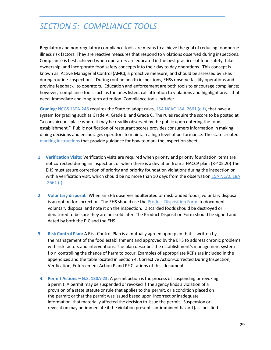# <span id="page-29-0"></span>*SECTION 5: COMPLIANCE TOOLS*

Regulatory and non-regulatory compliance tools are means to achieve the goal of reducing foodborne illness risk factors. They are reactive measures that respond to violations observed during inspections. Compliance is best achieved when operators are educated in the best practices of food safety, take ownership, and incorporate food safety concepts into their day to day operations. This concept is known as Active Managerial Control (AMC), a proactive measure, and should be assessed by EHSs during routine inspections. During routine health inspections, EHSs observe facility operations and provide feedback to operators. Education and enforcement are both tools to encourage compliance; however, compliance tools such as the ones listed, call attention to violations and highlight areas that need immediate and long-term attention. Compliance tools include:

**Grading:** NCGS [130A-248](http://www.ncga.state.nc.us/enactedlegislation/statutes/pdf/bysection/chapter_130a/gs_130a-248.pdf) requires the State to adopt rules, [15A NCAC](http://ehs.ncpublichealth.com/docs/rules/294306-26-2600.pdf) 18A .2661 (e-f), that have a system for grading such as Grade A, Grade B, and Grade C. The rules require the score to be posted at "a conspicuous place where it may be readily observed by the public upon entering the food establishment." Public notification of restaurant scores provides consumers information in making dining decisions and encourages operators to maintain a high level of performance. The state created [marking instructions](https://ehs.ncpublichealth.com/faf/food/fcannex/84markinginstructions.pdf) that provide guidance for how to mark the inspection sheet.

- **1. Verification Visits:** Verification visits are required when priority and priority foundation items are not corrected during an inspection, or when there is a deviation from a HACCP plan. (8-405.20) The EHS must assure correction of priority and priority foundation violations during the inspection or with a verification visit, which should be no more than 10 days from the observation [15A NCAC](http://ehs.ncpublichealth.com/docs/rules/294306-26-2600.pdf) 18A [.2661](http://ehs.ncpublichealth.com/docs/rules/294306-26-2600.pdf) (f)
- **2. Voluntary disposal:** When an EHS observes adulterated or misbranded foods, voluntary disposal is an option for correction. The EHS should use the Product [Disposition Form](http://ehs.ncpublichealth.com/docs/forms/ProductDispositionForm.pdf) to document voluntary disposal and note it on the inspection. Discarded foods should be destroyed or denatured to be sure they are not sold later. The Product Disposition Form should be signed and dated by both the PIC and the EHS.
- **3. Risk Control Plan:** A Risk Control Plan is a mutually agreed upon plan that is written by the management of the food establishment and approved by the EHS to address chronic problems with risk factors and interventions. The plan describes the establishment's management system f o r controlling the chance of harm to occur. Examples of appropriate RCPs are included in the appendices and the table located in Section 4: Corrective Action-Corrected During Inspection, Verification, Enforcement Action P and PF Citations of this document.
- **4. Permit Actions – [G.S. 130A-23:](https://www.ncleg.net/EnactedLegislation/Statutes/PDF/BySection/Chapter_130A/GS_130A-23.pdf)** A permit action is the process of suspending or revoking a permit. A permit may be suspended or revoked if the agency finds a violation of a provision of a state statute or rule that applies to the permit, or a condition placed on the permit; or that the permit was issued based upon incorrect or inadequate information that materially affected the decision to issue the permit. Suspension or revocation may be immediate if the violation presents an imminent hazard (as specified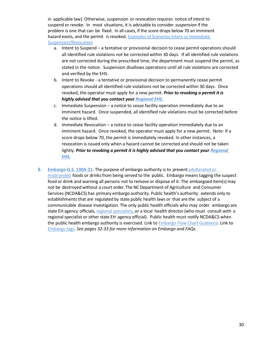in applicable law). Otherwise, suspension or revocation requires notice of intent to suspend or revoke. In most situations, it is advisable to consider *suspension* if the problem is one that can be fixed. In all cases, if the score drops below 70 an imminent hazard exists, and the permit is revoked. Examples of Scenarios Intent vs Immediate [Suspension/Revocation](https://ehs.ncpublichealth.com/faf/docs/enfmanstrat/IntentvsImmediateSuspensionsScenarios.docx)

- a. Intent to Suspend a tentative or provisional decision to cease permit operations should all identified rule violations not be corrected within 30 days. If all identified rule violations are not corrected during the prescribed time, the department must suspend the permit, as stated in the notice. Suspension disallows operations until all rule violations are corrected and verified by the EHS.
- b. Intent to Revoke a tentative or provisional decision to permanently cease permit operations should all identified rule violations not be corrected within 30 days. Once revoked, the operator must apply for a new permit. *Prior to revoking a permit it is highly advised that you contact you[r Regional EHS.](https://ehs.ncpublichealth.com/faf/docs/foodprot/RegionalFoodMapMay28-2018.pdf)*
- c. Immediate Suspension a notice to cease facility operation immediately due to an imminent hazard. Once suspended, all identified rule violations must be corrected before the notice is lifted.
- d. Immediate Revocation a notice to cease facility operation immediately due to an imminent hazard. Once revoked, the operator must apply for a new permit. Note: If a score drops below 70, the permit is immediately revoked. In other instances, a revocation is issued only when a hazard cannot be corrected and should not be taken lightly. *Prior to revoking a permit it is highly advised that you contact you[r Regional](https://ehs.ncpublichealth.com/faf/docs/foodprot/RegionalFoodMapMay28-2018.pdf)  [EHS.](https://ehs.ncpublichealth.com/faf/docs/foodprot/RegionalFoodMapMay28-2018.pdf)*
- **5. [Embargo](https://ehs.ncpublichealth.com/faf/food/fd/docs/TheEmbargoProcess-October2012.pdf)[-G.S. 130A-21:](https://ehs.ncpublichealth.com/faf/food/fd/docs/GS_130A-21-Embargo.pdf)** The purpose of embargo authority is to prevent [adulterated](https://ehs.ncpublichealth.com/faf/food/fd/docs/EmbargoAdulteratedMisbranded.pdf) or [misbranded](https://ehs.ncpublichealth.com/faf/food/fd/docs/EmbargoAdulteratedMisbranded.pdf) foods or drinks from being served to the public. Embargo means tagging the suspect food or drink and warning all persons not to remove or dispose of it. The embargoed item(s) may not be destroyed without a court order. The NC Department of Agriculture and Consumer Services (NCDA&CS) has primary embargo authority. Public health's authority extends only to establishments that are regulated by state public health laws or that are the subject of a communicable disease investigation. The only public health officials who may order embargo are state EH agency officials, regional specialists, or a local health director (who must consult with a regional specialist or other state EH agency official). Public health must notify NCDA&CS when the public health embargo authority is exercised. Link to **Embargo Flow Chart Guidance**. Link to [Embargo tags.](http://ehs.ncpublichealth.com/docs/forms/221552-28-6001-NC-Embargoed-SH.pdf) *See pages 32-33 for more information on Embargo and FAQs.*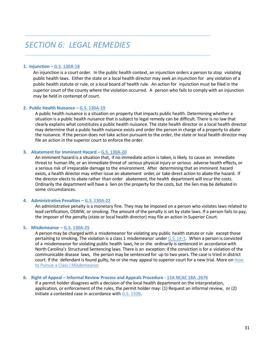### <span id="page-31-0"></span>*SECTION 6: LEGAL REMEDIES*

#### **1. Injunction – [G.S. 130A-18](https://www.ncleg.net/EnactedLegislation/Statutes/PDF/BySection/Chapter_130A/GS_130A-18.pdf)**

An injunction is a court order. In the public health context, an injunction orders a person to stop violating public health laws. Either the state or a local health director may seek an injunction for any violation of a public health statute or rule, or a local board of health rule. An action for injunction must be filed in the superior court of the county where the violation occurred. A person who fails to comply with an injunction may be held in contempt of court.

#### **2. Public Health Nuisance – [G.S. 130A-19](https://www.ncleg.net/EnactedLegislation/Statutes/PDF/BySection/Chapter_130A/GS_130A-19.pdf)**

A public health nuisance is a situation on property that impacts public health. Determining whether a situation is a public health nuisance that is subject to legal remedy can be difficult. There is no law that clearly explains what constitutes a public health nuisance. The state health director or a local health director may determine that a public health nuisance exists and order the person in charge of a property to abate the nuisance. If the person does not take action pursuant to the order, the state or local health director may file an action in the superior court to enforce the order.

#### **3. Abatement for Imminent Hazard – G.S. [130A-20](https://www.ncleg.net/EnactedLegislation/Statutes/HTML/BySection/Chapter_130A/GS_130A-20.html)**

An imminent hazard is a situation that, if no immediate action is taken, is likely to cause an immediate threat to human life, or an immediate threat of serious physical injury or serious adverse health effects, or a serious risk of irreparable damage to the environment. After determining that an imminent hazard exists, a health director may either issue an abatement order, or take direct action to abate the hazard. If the director elects to abate rather than order abatement, the health department will incur the costs. Ordinarily the department will have a lien on the property for the costs, but the lien may be defeated in some circumstances.

#### **4. Administrative Penalties – [G.S. 130A-22](https://www.ncleg.net/EnactedLegislation/Statutes/HTML/BySection/Chapter_130A/GS_130A-22.html)**

An administrative penalty is a monetary fine. They may be imposed on a person who violates laws related to lead certification, OSWW, or smoking. The amount of the penalty is set by state laws. If a person fails to pay, the imposer of the penalty (state or local health director) may file an action in Superior Court.

#### **5. Misdemeanor – G.S. [130A-25](https://www.ncleg.net/gascripts/statutes/statutelookup.pl?statute=130A-25)**

A person may be charged with a misdemeanor for violating any public health statute or rule except those pertaining to smoking. The violation is a class 1 misdemeanor under G.S. [14-3.](https://www.ncleg.net/EnactedLegislation/Statutes/HTML/BySection/Chapter_14/GS_14-3.html) When a person is convicted of a misdemeanor for violating public health laws, he or she ordinarily is sentenced in accordance with North Carolina's Structured Sentencing laws. There is an exception: if the conviction is for a violation of the communicable disease laws, the person may be sentenced for up to two years. The case is tried in district court. If the defendant is found guilty, he or she may appeal to superior court for a new trial. More on How [to Pursue a Class I Misdemeanor](https://ehs.ncpublichealth.com/faf/docs/enfmanstrat/HowtoPursueaClassIMisdemeanor.docx)

#### **6. Right of Appeal – Informal Review Process and Appeals Procedure - 15A [NCAC](https://ehs.ncpublichealth.com/docs/rules/294306-26-2600.pdf) 18A .2676**

If a permit holder disagrees with a decision of the local health department on the interpretation, application, or enforcement of the rules, the permit holder may: (1) Request an informal review, or (2) Initiate a contested case in accordance with G.S. [150B.](https://www.ncleg.net/enactedlegislation/statutes/html/bychapter/chapter_150b.html)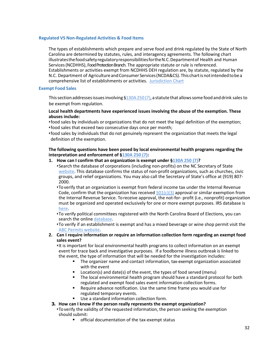#### **Regulated VS Non-Regulated Activities & Food Items**

The types of establishments which prepare and serve food and drink regulated by the State of North Carolina are determined by statutes, rules, and interagency agreements. The following chart illustratesthefoodsafetyregulatoryresponsibilitiesfortheN.C.Departmentof Health and Human Services(NCDHHS), Food Protection Branch. The appropriate statute or rule is referenced. Establishments or activities exempt from NCDHHS DEH regulation are, by statute, regulated by the N.C. Department of Agriculture and Consumer Services (NCDA&CS). This chart is not intended to be a comprehensive list of establishments or activities. [Jurisdiction Chart](https://ehs.ncpublichealth.com/docs/position/JurisdictionChart-October2017.pdf)

#### **Exempt Food Sales**

This section addresses issues involving §130A 250 (7), a statute that allows some food and drink sales to be exempt from regulation.

#### **Local health departments have experienced issues involving the abuse of the exemption. These abuses include:**

- •food sales by individuals or organizations that do not meet the legal definition of the exemption; •food sales that exceed two consecutive days once per month;
- •food sales by individuals that do not genuinely represent the organization that meets the legal definition of the exemption.

#### **The following questions have been posed by local environmental health programs regarding the interpretation and enforcement of [§130A 250 \(7\):](https://www.ncleg.net/EnactedLegislation/Statutes/PDF/BySection/Chapter_130A/GS_130A-250.pdf)**

#### **1. How can I confirm that an organization is exempt under [§130A 250 \(7\)?](https://www.ncleg.net/EnactedLegislation/Statutes/PDF/BySection/Chapter_130A/GS_130A-250.pdf)**

- •Search the database of corporations (including non-profits) on the NC Secretary of State [website.](https://www.sosnc.gov/search/index/corp) This database confirms the status of non-profit organizations, such as churches, civic groups, and relief organizations. You may also call the Secretary of State's office at (919) 807- 2000.
- •To verify that an organization is exempt from federal income tax under the Internal Revenue Code, confirm that the organization has received  $501(c)(3)$  approval or similar exemption from the Internal Revenue Service. To receive approval, the not-for- profit (i.e., nonprofit) organization must be organized and operated exclusively for one or more exempt purposes. IRS database is [here.](https://apps.irs.gov/app/eos/)
- •To verify political committees registered with the North Carolina Board of Elections, you can search the online [database.](https://www.ncsbe.gov/Campaign-Finance/report-search)
- •To verify if an establishment is exempt and has a mixed beverage or wine shop permit visit the [ABC Permits website.](https://abc.nc.gov/Permit/BusinessSearch)
- **2. Can I require information or require an information collection form regarding an exempt food sales event?**
	- •It is important for local environmental health programs to collect information on an exempt event for trace back and investigative purposes. If a foodborne illness outbreak is linked to the event, the type of information that will be needed for the investigation includes:
		- The organizer name and contact information, tax-exempt organization associated with the event
		- Location(s) and date(s) of the event, the types of food served (menu)
		- The local environmental health program should have a standard protocol for both regulated and exempt food sales event information collection forms.
		- Require advance notification. Use the same time frame you would use for regulated temporary events.
		- Use a standard information collection form.

#### **3. How can I know if the person really represents the exempt organization?**

- •To verify the validity of the requested information, the person seeking the exemption should submit:
	- official documentation of the tax-exempt status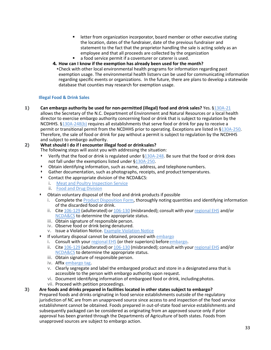- **E** letter from organization incorporator, board member or other executive stating the location, dates of the fundraiser, date of the previous fundraiser and statement to the fact that the proprietor handling the sale is acting solely as an employee and that all proceeds are collected by the organization
- a food service permit if a coventurer or caterer is used.
- **4. How can I know if the exemption has already been used for the month?** 
	- •Check with other local environmental health programs for information regarding past exemption usage. The environmental health listserv can be used for communicating information regarding specific events or organizations. In the future, there are plans to develop a statewide database that counties may research for exemption usage.

#### **Illegal Food & Drink Sales**

**1) Can embargo authority be used for non-permitted (illegal) food and drink sales?** Yes. [§130A-21](https://www.ncleg.net/EnactedLegislation/Statutes/HTML/BySection/Chapter_130A/GS_130A-21.html) allows the Secretary of the N.C. Department of Environment and Natural Resources or a local health director to exercise embargo authority concerning food or drink that is subject to regulation by the NCDHHS. [§130A-248\(b\)](https://www.ncleg.net/gascripts/statutes/statutelookup.pl?statute=130A-248) requires all establishments that serve food or drink for pay to receive a permit or transitional permit from the NCDHHS prior to operating. Exceptions are listed in [§130A-250.](https://www.ncleg.net/EnactedLegislation/Statutes/PDF/BySection/Chapter_130A/GS_130A-250.pdf) Therefore, the sale of food or drink for pay without a permit is subject to regulation by the NCDHHS and subject to embargo authority.

#### **2) What should I do if I encounter illegal food or drinksales?**

The following steps will assist you with addressing the situation:

- Verify that the food or drink is regulated under [§130A-248.](https://www.ncleg.net/gascripts/statutes/statutelookup.pl?statute=130A-248) Be sure that the food or drink does not fall under the exemptions listed under [§130A-250.](https://www.ncleg.net/EnactedLegislation/Statutes/PDF/BySection/Chapter_130A/GS_130A-250.pdf)
- Obtain identifying information, such as name, address, and telephone numbers.
- Gather documentation, such as photographs, receipts, and product temperatures.
- Contact the appropriate division of the NCDA&CS:
	- i. [Meat and Poultry Inspection Service](http://www.ncagr.gov/MeatPoultry/contact.htm)
	- ii. [Food and Drug Division](http://www.ncagr.gov/fooddrug/consumercoms.htm)
- Obtain voluntary disposal of the food and drink products if possible
	- i. Complete the [Product Disposition Form,](https://ehs.ncpublichealth.com/docs/forms/ProductDispositionForm.pdf) thoroughly noting quantities and identifying information of the discarded food or drink.
	- ii. Cite [106-129](https://ehs.ncpublichealth.com/faf/food/fd/docs/EmbargoAdulteratedMisbranded.pdf) (adulterated) or [106-130](https://mobile.ncleg.net/EnactedLegislation/Statutes/PDF/BySection/Chapter_106/GS_106-130.pdf) (misbranded); consult with your [regional](https://ehs.ncpublichealth.com/faf/docs/foodprot/RegionalFoodMapMay28-2018.pdf) EHS and/or [NCDA&CS](http://www.ncagr.gov/) to determine the appropriate status.
	- iii. Obtain signature of responsible person.
	- iv. Observe food or drink being denatured.
	- v. Issue a Violation Notice. [Example Violation Notice](https://ehs.ncpublichealth.com/faf/docs/enfmanstrat/ILLEGALFOODVENDORVIOLATIONEXAMPLE.pdf)
- If voluntary disposal cannot be obtained, proceed with [embargo](https://ehs.ncpublichealth.com/faf/food/fd/docs/EmbargoProcessFlowchartJanuary-2013.pdf)
	- i. Consult with you[r regional EHS](https://ehs.ncpublichealth.com/faf/docs/foodprot/RegionalFoodMapMay28-2018.pdf) (or their superiors) before [embargo.](https://ehs.ncpublichealth.com/faf/food/fd/docs/EmbargoProcessFlowchartJanuary-2013.pdf)
	- ii. Cite [106-129](https://ehs.ncpublichealth.com/faf/food/fd/docs/EmbargoAdulteratedMisbranded.pdf) (adulterated) or [106-130](https://mobile.ncleg.net/EnactedLegislation/Statutes/PDF/BySection/Chapter_106/GS_106-130.pdf) (misbranded); consult with your [regional](https://ehs.ncpublichealth.com/faf/docs/foodprot/RegionalFoodMapMay28-2018.pdf) EHS and/or [NCDA&CS](http://www.ncagr.gov/) to determine the appropriate status.
	- iii. Obtain signature of responsible person.
	- iv. Affix [embargo tag.](http://ehs.ncpublichealth.com/docs/forms/221552-28-6001-NC-Embargoed-SH.pdf)
	- v. Clearly segregate and label the embargoed product and store in a designated area that is accessible to the person with embargo authority upon request.
	- vi. Document identifying information of embargoed food or drink, includingphotos.
	- vii. Proceed with petition proceedings.

#### **3) Are foods and drinks prepared in facilities located in other states subject to embargo?**

Prepared foods and drinks originating in food service establishments outside of the regulatory jurisdiction of NC are from an unapproved source since access to and inspection of the food service establishment cannot be obtained. Foods prepared in out-of-state food service establishments and subsequently packaged can be considered as originating from an approved source only if prior approval has been granted through the Departments of Agriculture of both states. Foods from unapproved sources are subject to embargo action.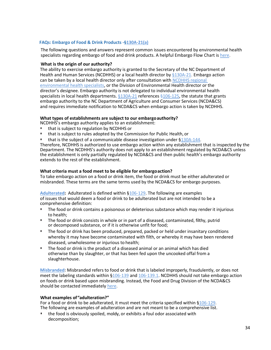#### **FAQs: Embargo of Food & Drink Products -[§130A-21\(a\)](https://www.ncleg.net/EnactedLegislation/Statutes/HTML/BySection/Chapter_130A/GS_130A-21.html)**

The following questions and answers represent common issues encountered by environmental health specialists regarding embargo of food and drink products. A helpful Embargo Flow Chart is [here.](https://ehs.ncpublichealth.com/faf/food/fd/docs/EmbargoProcessFlowchartJanuary-2013.pdf)

#### **What is the origin of our authority?**

The ability to exercise embargo authority is granted to the Secretary of the NC Department of Health and Human Services (NCDHHS) or a local health director b[y §130A-21.](https://www.ncleg.net/EnactedLegislation/Statutes/HTML/BySection/Chapter_130A/GS_130A-21.html) Embargo action can be taken by a local health director only after consultation wit[h NCDHHS regional](https://ehs.ncpublichealth.com/faf/docs/foodprot/RegionalFoodMapMay28-2018.pdf)  [environmental health specialists,](https://ehs.ncpublichealth.com/faf/docs/foodprot/RegionalFoodMapMay28-2018.pdf) or the Division of Environmental Health director or the director's designee. Embargo authority is not delegated to individual environmental health specialists in local health departments.  $§130A-21$  references  $§106-125$ , the statute that grants embargo authority to the NC Department of Agriculture and Consumer Services (NCDA&CS) and requires immediate notification to NCDA&CS when embargo action is taken by NCDHHS.

#### **What types of establishments are subject to our embargoauthority?**

- NCDHHS's embargo authority applies to an establishment:
- that is subject to regulation by NCDHHS or
- that is subject to rules adopted by the Commission for Public Health, or
- that is the subject of a communicable disease investigation under [§130A-144.](https://www.ncleg.net/EnactedLegislation/Statutes/HTML/BySection/Chapter_130A/GS_130A-144.html)

Therefore, NCDHHS is authorized to use embargo action within any establishment that is inspected by the Department. The NCDHHS's authority does not apply to an establishment regulated by NCDA&CS unless the establishment is only partially regulated by NCDA&CS and then public health's embargo authority extends to the rest of the establishment.

#### **What criteria must a food meet to be eligible for embargoaction?**

To take embargo action on a food or drink item, the food or drink must be either adulterated or misbranded. These terms are the same terms used by the NCDA&CS for embargo purposes.

**[Adulterated:](https://www.ncleg.net/EnactedLegislation/Statutes/PDF/BySection/Chapter_106/GS_106-129.pdf)** Adulterated is defined within [§106-129.](https://www.ncleg.net/EnactedLegislation/Statutes/HTML/BySection/Chapter_106/GS_106-129.html) The following are examples of issues that would deem a food or drink to be adulterated but are not intended to be a comprehensive definition:

- The food or drink contains a poisonous or deleterious substance which may render it injurious to health;
- The food or drink consists in whole or in part of a diseased, contaminated, filthy, putrid or decomposed substance, or if it is otherwise unfit for food;
- The food or drink has been produced, prepared, packed or held under insanitary conditions whereby it may have become contaminated with filth, or whereby it may have been rendered diseased, unwholesome or injurious to health;
- The food or drink is the product of a diseased animal or an animal which has died otherwise than by slaughter, or that has been fed upon the uncooked offal from a slaughterhouse.

**[Misbranded:](http://www.ncagr.gov/MeatPoultry/pdf/Foods%20Deemed%20Misbranded.pdf)** Misbranded refers to food or drink that is labeled improperly, fraudulently, or does not meet the labeling standards within [§106-139](https://www.ncleg.net/EnactedLegislation/Statutes/PDF/BySection/Chapter_106/GS_106-139.pdf) and [106-139.1.](https://www.ncleg.net/EnactedLegislation/Statutes/PDF/BySection/Chapter_106/GS_106-139.1.pdf) NCDHHS should not take embargo action on foods or drink based upon misbranding. Instead, the Food and Drug Division of the NCDA&CS should be contacted immediately [here.](http://www.ncagr.gov/fooddrug/consumercoms.htm)

#### **What examples of"adulteration?"**

For a food or drink to be adulterated, it must meet the criteria specified within [§106-129.](https://www.ncleg.net/EnactedLegislation/Statutes/HTML/BySection/Chapter_106/GS_106-129.html) The following are examples of adulteration and are not meant to be a comprehensive list.

• the food is obviously spoiled, moldy, or exhibits a foul odor associated with decomposition;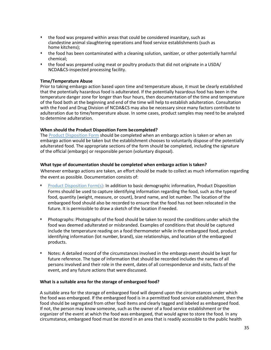- the food was prepared within areas that could be considered insanitary, such as clandestine animal slaughtering operations and food service establishments (such as home kitchens);
- the food has been contaminated with a cleaning solution, sanitizer, or other potentially harmful chemical;
- the food was prepared using meat or poultry products that did not originate in a USDA/ NCDA&CS-inspected processing facility.

#### **Time/Temperature Abuse**

Prior to taking embargo action based upon time and temperature abuse, it must be clearly established that the potentially hazardous food is adulterated. If the potentially hazardous food has been in the temperature danger zone for longer than four hours, then documentation of the time and temperature of the food both at the beginning and end of the time will help to establish adulteration. Consultation with the Food and Drug Division of NCDA&CS may also be necessary since many factors contribute to adulteration due to time/temperature abuse. In some cases, product samples may need to be analyzed to determine adulteration.

#### **When should the Product Disposition Form becompleted?**

The [Product Disposition Form](https://ehs.ncpublichealth.com/docs/forms/ProductDispositionForm.pdf) should be completed when an embargo action is taken or when an embargo action would be taken but the establishment chooses to voluntarily dispose of the potentially adulterated food. The appropriate sections of the form should be completed, including the signature of the official (embargo) or responsible person (voluntary disposal).

#### **What type of documentation should be completed when embargo action is taken?**

Whenever embargo actions are taken, an effort should be made to collect as much information regarding the event as possible. Documentation consists of:

- [Product Disposition Form\(s\):](https://ehs.ncpublichealth.com/docs/forms/ProductDispositionForm.pdf) In addition to basic demographic information, Product Disposition Forms should be used to capture identifying information regarding the food, such as the typeof food, quantity (weight, measure, or count), brand name, and lot number. The location of the embargoed food should also be recorded to ensure that the food has not been relocated in the future. It is permissible to draw a sketch of the location if needed.
- Photographs: Photographs of the food should be taken to record the conditions under which the food was deemed adulterated or misbranded. Examples of conditions that should be captured include the temperature reading on a food thermometer while in the embargoed food, product identifying information (lot number, brand), size relationships, and location of the embargoed products.
- Notes: A detailed record of the circumstances involved in the embargo event should be kept for future reference. The type of information that should be recorded includes the names of all persons involved and their role in the event, dates of all correspondence and visits, facts of the event, and any future actions that were discussed.

#### **What is a suitable area for the storage of embargoed food?**

A suitable area for the storage of embargoed food will depend upon the circumstances under which the food was embargoed. If the embargoed food is in a permitted food service establishment, then the food should be segregated from other food items and clearly tagged and labeled as embargoed food. If not, the person may know someone, such as the owner of a food service establishment or the organizer of the event at which the food was embargoed, that would agree to store the food. In any circumstance, embargoed food must be stored in an area that is readily accessible to the public health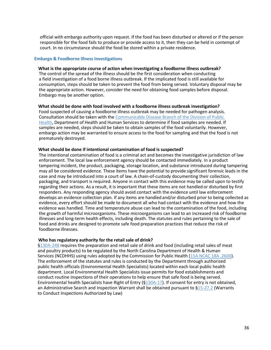official with embargo authority upon request. If the food has been disturbed or altered or if the person responsible for the food fails to produce or provide access to it, then they can be held in contempt of court. In no circumstance should the food be stored within a private residence.

#### **Embargo & Foodborne Illness Investigations**

#### **What is the appropriate course of action when investigating a foodborne illness outbreak?**

The control of the spread of the illness should be the first consideration when conducting a field investigation of a food borne illness outbreak. If the implicated food is still available for consumption, steps should be taken to prevent the food from being served. Voluntary disposal may be the appropriate action. However, consider the need for obtaining food samples before disposal. Embargo may be another option.

#### **What should be done with food involved with a foodborne illness outbreak investigation?**

Food suspected of causing a foodborne illness outbreak may be needed for pathogen analysis. Consultation should be taken with the [Communicable Disease Branch of the Division of Public](http://epi.publichealth.nc.gov/cd/contact.html)  [Health,](http://epi.publichealth.nc.gov/cd/contact.html) Department of Health and Human Services to determine if food samples are needed. If samples are needed, steps should be taken to obtain samples of the food voluntarily. However, embargo action may be warranted to ensure access to the food for sampling and that the food is not prematurely destroyed.

#### **What should be done if intentional contamination of food is suspected?**

The intentional contamination of food is a criminal act and becomes the investigative jurisdiction of law enforcement. The local law enforcement agency should be contacted immediately. In a product tampering incident, the product, packaging, storage location, and substance introduced during tampering may all be considered evidence. These items have the potential to provide significant forensic leads in the case and may be introduced into a court of law. A chain-of-custody documenting their collection, packaging, and transport is required. Anyone in contact with this evidence may be called upon to testify regarding their actions. As a result, it is important that these items are not handled or disturbed by first responders. Any responding agency should avoid contact with the evidence until law enforcement develops an evidence collection plan. If any items are handled and/or disturbed prior to being collected as evidence, every effort should be made to document all who had contact with the evidence and how the evidence was handled. Time and temperature abuse can lead to the contamination of the food, including the growth of harmful microorganisms. These microorganisms can lead to an increased risk of foodborne illnesses and long-term health effects, including death. The statutes and rules pertaining to the sale of food and drinks are designed to promote safe food preparation practices that reduce the risk of foodborne illnesses.

#### **Who has regulatory authority for the retail sale of drink?**

[§130A-248](https://www.ncleg.net/gascripts/statutes/statutelookup.pl?statute=130A-248) requires the preparation and retail sale of drink and food (including retail sales of meat and poultry products) to be regulated by the North Carolina Department of Health & Human Services (NCDHHS) using rules adopted by the Commission for Public Health [\(15A NCAC 18A .2600\)](https://ehs.ncpublichealth.com/docs/rules/294306-26-2600.pdf). The enforcement of the statutes and rules is conducted by the Department through authorized public health officials (Environmental Health Specialists) located within each local public health department. Local Environmental Health Specialists issue permits for food establishments and conduct routine inspections of their operations to help ensure that safe food is being served. Environmental health Specialists have Right of Entry ([§130A-17\)](https://www.ncleg.net/EnactedLegislation/Statutes/HTML/BySection/Chapter_130A/GS_130A-17.html). If consent for entry is not obtained, an Administrative Search and Inspection Warrant shall be obtained pursuant to [§15-27.2](https://www.ncleg.net/EnactedLegislation/Statutes/PDF/BySection/Chapter_15/GS_15-27.2.pdf) (Warrants to Conduct Inspections Authorized by Law)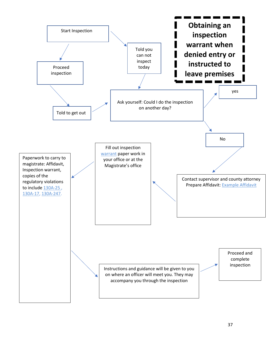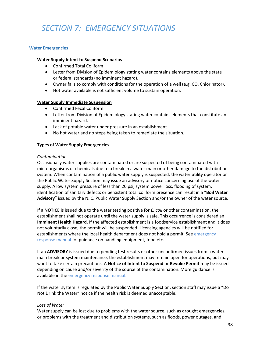# *SECTION 7: EMERGENCY SITUATIONS*

#### **Water Emergencies**

#### **Water Supply Intent to Suspend Scenarios**

- Confirmed Total Coliform
- Letter from Division of Epidemiology stating water contains elements above the state or federal standards (no imminent hazard).
- Owner fails to comply with conditions for the operation of a well (e.g. CO, Chlorinator).
- Hot water available is not sufficient volume to sustain operation.

#### **Water Supply Immediate Suspension**

- Confirmed Fecal Coliform
- Letter from Division of Epidemiology stating water contains elements that constitute an imminent hazard.
- Lack of potable water under pressure in an establishment.
- No hot water and no steps being taken to remediate the situation.

#### **Types of Water Supply Emergencies**

#### *Contamination*

Occasionally water supplies are contaminated or are suspected of being contaminated with microorganisms or chemicals due to a break in a water main or other damage to the distribution system. When contamination of a public water supply is suspected, the water utility operator or the Public Water Supply Section may issue an advisory or notice concerning use of the water supply. A low system pressure of less than 20 psi, system power loss, flooding of system, identification of sanitary defects or persistent total coliform presence can result in a "**Boil Water Advisory**" issued by the N. C. Public Water Supply Section and/or the owner of the water source.

If a **NOTICE** is issued due to the water testing positive for *E. coli* or other contamination, the establishment shall not operate until the water supply is safe. This occurrence is considered an **Imminent Health Hazard**. If the affected establishment is a foodservice establishment and it does not voluntarily close, the permit will be suspended. Licensing agencies will be notified for establishments where the local health department does not hold a permit. Se[e emergency](https://ehs.ncpublichealth.com/faf/food/fd/docs/EH-PreparednessManual-Final.pdf)  [response manual](https://ehs.ncpublichealth.com/faf/food/fd/docs/EH-PreparednessManual-Final.pdf) for guidance on handling equipment, food etc.

If an **ADVISORY** is issued due to pending test results or other unconfirmed issues from a water main break or system maintenance, the establishment may remain open for operations, but may want to take certain precautions. A **Notice of Intent to Suspend** or **Revoke Permit** may be issued depending on cause and/or severity of the source of the contamination. More guidance is available in the [emergency response manual.](https://ehs.ncpublichealth.com/faf/food/fd/docs/EH-PreparednessManual-Final.pdf)

If the water system is regulated by the Public Water Supply Section, section staff may issue a "Do Not Drink the Water" notice if the health risk is deemed unacceptable.

#### *Loss of Water*

Water supply can be lost due to problems with the water source, such as drought emergencies, or problems with the treatment and distribution systems, such as floods, power outages, and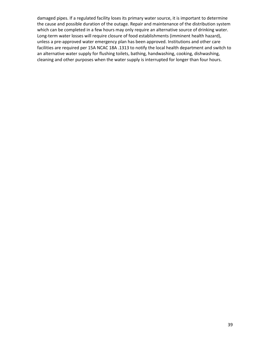damaged pipes. If a regulated facility loses its primary water source, it is important to determine the cause and possible duration of the outage. Repair and maintenance of the distribution system which can be completed in a few hours may only require an alternative source of drinking water. Long-term water losses will require closure of food establishments (imminent health hazard), unless a pre-approved water emergency plan has been approved. Institutions and other care facilities are required per 15A NCAC 18A .1313 to notify the local health department and switch to an alternative water supply for flushing toilets, bathing, handwashing, cooking, dishwashing, cleaning and other purposes when the water supply is interrupted for longer than four hours.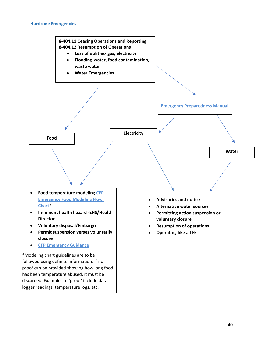